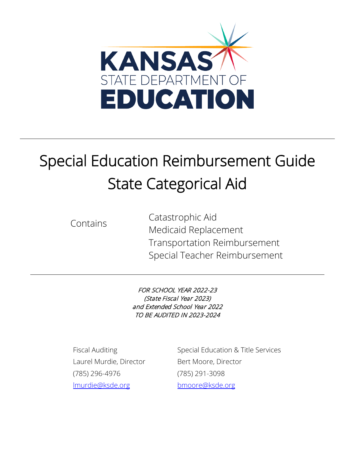

# Special Education Reimbursement Guide State Categorical Aid

Contains Catastrophic Aid Medicaid Replacement Transportation Reimbursement Special Teacher Reimbursement

> FOR SCHOOL YEAR 2022-23 (State Fiscal Year 2023) and Extended School Year 2022 TO BE AUDITED IN 2023-2024

Laurel Murdie, Director Bert Moore, Director (785) 296-4976 (785) 291-3098 [lmurdie@ksde.org](mailto:lmurdie@ksde.org) [bmoore@ksde.org](mailto:bmoore@ksde.org)

Fiscal Auditing Special Education & Title Services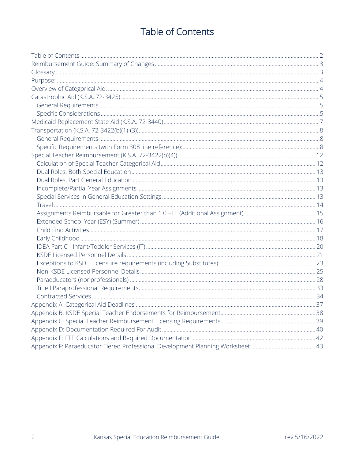# **Table of Contents**

<span id="page-1-0"></span>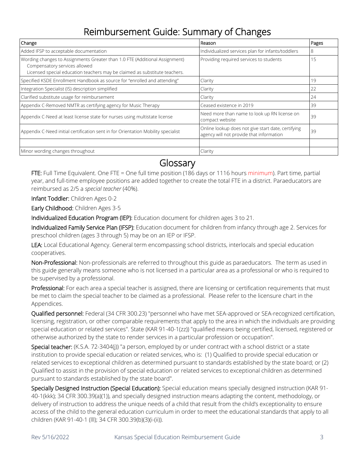# Reimbursement Guide: Summary of Changes

<span id="page-2-0"></span>

| Change                                                                                                                                                                                     | Reason                                                                                         | Pages |
|--------------------------------------------------------------------------------------------------------------------------------------------------------------------------------------------|------------------------------------------------------------------------------------------------|-------|
| Added IFSP to acceptable documentation                                                                                                                                                     | Individualized services plan for infants/toddlers                                              | 8     |
| Wording changes to Assignments Greater than 1.0 FTE (Additional Assignment)<br>Compensatory services allowed<br>Licensed special education teachers may be claimed as substitute teachers. | Providing required services to students                                                        | 15    |
| Specified KSDE Enrollment Handbook as source for "enrolled and attending"                                                                                                                  | Clarity                                                                                        | 19    |
| Integration Specialist (IS) description simplified                                                                                                                                         | Clarity                                                                                        | 22    |
| Clarified substitute usage for reimbursement                                                                                                                                               | Clarity                                                                                        | 24    |
| Appendix C-Removed NMTR as certifying agency for Music Therapy                                                                                                                             | Ceased existence in 2019                                                                       | 39    |
| Appendix C-Need at least license state for nurses using multistate license                                                                                                                 | Need more than name to look up RN license on<br>compact website                                | 39    |
| Appendix C-Need initial certification sent in for Orientation Mobility specialist                                                                                                          | Online lookup does not give start date, certifying<br>agency will not provide that information | 39    |
|                                                                                                                                                                                            |                                                                                                |       |
| Minor wording changes throughout                                                                                                                                                           | Clarity                                                                                        |       |

<span id="page-2-1"></span>Glossary<br>FTE: Full Time Equivalent. One FTE = One full time position (186 days or 1116 hours minimum). Part time, partial year, and full-time employee positions are added together to create the total FTE in a district. Paraeducators are reimbursed as 2/5 a *special teacher* (40%).

Infant Toddler: Children Ages 0-2

Early Childhood: Children Ages 3-5

Individualized Education Program (IEP): Education document for children ages 3 to 21.

Individualized Family Service Plan (IFSP): Education document for children from infancy through age 2. Services for preschool children (ages 3 through 5) may be on an IEP or IFSP.

LEA: Local Educational Agency. General term encompassing school districts, interlocals and special education cooperatives.

Non-Professional: Non-professionals are referred to throughout this guide as paraeducators. The term as used in this guide generally means someone who is not licensed in a particular area as a professional or who is required to be supervised by a professional.

Professional: For each area a special teacher is assigned, there are licensing or certification requirements that must be met to claim the special teacher to be claimed as a professional. Please refer to the licensure chart in the Appendices.

Qualified personnel: Federal (34 CFR 300.23) "personnel who have met SEA-approved or SEA-recognized certification, licensing, registration, or other comparable requirements that apply to the area in which the individuals are providing special education or related services". State (KAR 91-40-1(zz)) "qualified means being certified, licensed, registered or otherwise authorized by the state to render services in a particular profession or occupation".

Special teacher: (K.S.A. 72-3404(j)) "a person, employed by or under contract with a school district or a state institution to provide special education or related services, who is: (1) Qualified to provide special education or related services to exceptional children as determined pursuant to standards established by the state board; or (2) Qualified to assist in the provision of special education or related services to exceptional children as determined pursuant to standards established by the state board".

Specially Designed Instruction (Special Education): Special education means specially designed instruction (KAR 91- 40-1(kkk); 34 CFR 300.39(a)(1)), and specially designed instruction means adapting the content, methodology, or delivery of instruction to address the unique needs of a child that result from the child's exceptionality to ensure access of the child to the general education curriculum in order to meet the educational standards that apply to all children (KAR 91-40-1 (lll); 34 CFR 300.39(b)(3)(i-(ii)).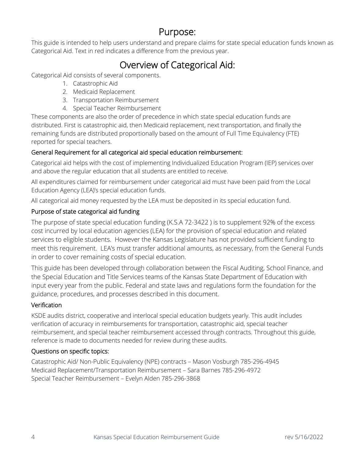# Purpose: Purpose:

<span id="page-3-0"></span>This guide is intended to help users understand and prepare claims for state special education funds known as Categorical Aid. Text in red indicates a difference from the previous year.

# <span id="page-3-1"></span>**Overview of Categorical Aid:** Categorical Aid: Categorical Aid: Categorical Aid:

- 1. Catastrophic Aid
- 2. Medicaid Replacement
- 3. Transportation Reimbursement
- 4. Special Teacher Reimbursement

These components are also the order of precedence in which state special education funds are distributed. First is catastrophic aid, then Medicaid replacement, next transportation, and finally the remaining funds are distributed proportionally based on the amount of Full Time Equivalency (FTE) reported for special teachers.

### General Requirement for all categorical aid special education reimbursement:

Categorical aid helps with the cost of implementing Individualized Education Program (IEP) services over and above the regular education that all students are entitled to receive.

All expenditures claimed for reimbursement under categorical aid must have been paid from the Local Education Agency (LEA)'s special education funds.

All categorical aid money requested by the LEA must be deposited in its special education fund.

### Purpose of state categorical aid funding

The purpose of state special education funding (K.S.A 72-3422 ) is to supplement 92% of the excess cost incurred by local education agencies (LEA) for the provision of special education and related services to eligible students. However the Kansas Legislature has not provided sufficient funding to meet this requirement. LEA's must transfer additional amounts, as necessary, from the General Funds in order to cover remaining costs of special education.

This guide has been developed through collaboration between the Fiscal Auditing, School Finance, and the Special Education and Title Services teams of the Kansas State Department of Education with input every year from the public. Federal and state laws and regulations form the foundation for the guidance, procedures, and processes described in this document.

### **Verification**

KSDE audits district, cooperative and interlocal special education budgets yearly. This audit includes verification of accuracy in reimbursements for transportation, catastrophic aid, special teacher reimbursement, and special teacher reimbursement accessed through contracts. Throughout this guide, reference is made to documents needed for review during these audits.

### Questions on specific topics:

Catastrophic Aid/ Non-Public Equivalency (NPE) contracts – Mason Vosburgh 785-296-4945 Medicaid Replacement/Transportation Reimbursement – Sara Barnes 785-296-4972 Special Teacher Reimbursement – Evelyn Alden 785-296-3868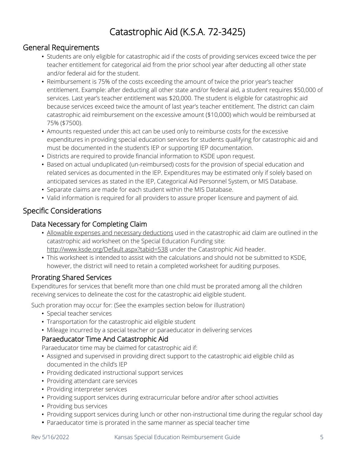# Catastrophic Aid (K.S.A. 72-3425) Catastrophic Aid (K.S.A. 72-3425)

### <span id="page-4-1"></span><span id="page-4-0"></span>General Requirements

- Students are only eligible for catastrophic aid if the costs of providing services exceed twice the per teacher entitlement for categorical aid from the prior school year after deducting all other state and/or federal aid for the student.
- Reimbursement is 75% of the costs exceeding the amount of twice the prior year's teacher entitlement. Example: after deducting all other state and/or federal aid, a student requires \$50,000 of services. Last year's teacher entitlement was \$20,000. The student is eligible for catastrophic aid because services exceed twice the amount of last year's teacher entitlement. The district can claim catastrophic aid reimbursement on the excessive amount (\$10,000) which would be reimbursed at 75% (\$7500).
- Amounts requested under this act can be used only to reimburse costs for the excessive expenditures in providing special education services for students qualifying for catastrophic aid and must be documented in the student's IEP or supporting IEP documentation.
- Districts are required to provide financial information to KSDE upon request.
- Based on actual unduplicated (un-reimbursed) costs for the provision of special education and related services as documented in the IEP. Expenditures may be estimated only if solely based on anticipated services as stated in the IEP, Categorical Aid Personnel System, or MIS Database.
- Separate claims are made for each student within the MIS Database.
- Valid information is required for all providers to assure proper licensure and payment of aid.

### <span id="page-4-2"></span>Specific Considerations

### Data Necessary for Completing Claim

- Allowable expenses and necessary deductions used in the catastrophic aid claim are outlined in the catastrophic aid worksheet on the Special Education Funding site: <http://www.ksde.org/Default.aspx?tabid=538> under the Catastrophic Aid header.
- This worksheet is intended to assist with the calculations and should not be submitted to KSDE, however, the district will need to retain a completed worksheet for auditing purposes.

### Prorating Shared Services

Expenditures for services that benefit more than one child must be prorated among all the children receiving services to delineate the cost for the catastrophic aid eligible student.

Such proration may occur for: (See the examples section below for illustration)

- Special teacher services
- Transportation for the catastrophic aid eligible student
- Mileage incurred by a special teacher or paraeducator in delivering services

### Paraeducator Time And Catastrophic Aid

Paraeducator time may be claimed for catastrophic aid if:

- Assigned and supervised in providing direct support to the catastrophic aid eligible child as documented in the child's IEP
- Providing dedicated instructional support services
- Providing attendant care services
- Providing interpreter services
- Providing support services during extracurricular before and/or after school activities
- Providing bus services
- Providing support services during lunch or other non-instructional time during the regular school day
- Paraeducator time is prorated in the same manner as special teacher time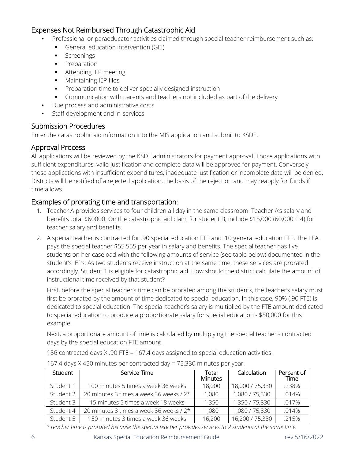### Expenses Not Reimbursed Through Catastrophic Aid

- Professional or paraeducator activities claimed through special teacher reimbursement such as:
	- General education intervention (GEI)
	- **Screenings**
	- **Preparation**
	- **Attending IEP meeting**
	- **Maintaining IEP files**
	- **Preparation time to deliver specially designed instruction**
	- Communication with parents and teachers not included as part of the delivery
- Due process and administrative costs
- Staff development and in-services

### Submission Procedures

Enter the catastrophic aid information into the MIS application and submit to KSDE.

### Approval Process

All applications will be reviewed by the KSDE administrators for payment approval. Those applications with sufficient expenditures, valid justification and complete data will be approved for payment. Conversely those applications with insufficient expenditures, inadequate justification or incomplete data will be denied. Districts will be notified of a rejected application, the basis of the rejection and may reapply for funds if time allows.

### Examples of prorating time and transportation:

- 1. Teacher A provides services to four children all day in the same classroom. Teacher A's salary and benefits total \$60000. On the catastrophic aid claim for student B, include \$15,000 (60,000 ÷ 4) for teacher salary and benefits.
- 2. A special teacher is contracted for .90 special education FTE and .10 general education FTE. The LEA pays the special teacher \$55,555 per year in salary and benefits. The special teacher has five students on her caseload with the following amounts of service (see table below) documented in the student's IEPs. As two students receive instruction at the same time, these services are prorated accordingly. Student 1 is eligible for catastrophic aid. How should the district calculate the amount of instructional time received by that student?

First, before the special teacher's time can be prorated among the students, the teacher's salary must first be prorated by the amount of time dedicated to special education. In this case, 90% (.90 FTE) is dedicated to special education. The special teacher's salary is multiplied by the FTE amount dedicated to special education to produce a proportionate salary for special education - \$50,000 for this example.

Next, a proportionate amount of time is calculated by multiplying the special teacher's contracted days by the special education FTE amount.

186 contracted days X .90 FTE = 167.4 days assigned to special education activities.

| Student   | Service Time                            | Total<br><b>Minutes</b> | Calculation     | Percent of<br>Time |
|-----------|-----------------------------------------|-------------------------|-----------------|--------------------|
| Student 1 | 100 minutes 5 times a week 36 weeks     | 18,000                  | 18,000 / 75,330 | .238%              |
| Student 2 | 20 minutes 3 times a week 36 weeks / 2* | 1,080                   | 1,080 / 75,330  | .014%              |
| Student 3 | 15 minutes 5 times a week 18 weeks      | 1.350                   | 1,350 / 75,330  | .017%              |
| Student 4 | 20 minutes 3 times a week 36 weeks / 2* | 1,080                   | 1,080 / 75,330  | .014%              |
| Student 5 | 150 minutes 3 times a week 36 weeks     | 16,200                  | 16,200 / 75,330 | .215%              |

167.4 days X 450 minutes per contracted day = 75,330 minutes per year.

*\*Teacher time is prorated because the special teacher provides services to 2 students at the same time.*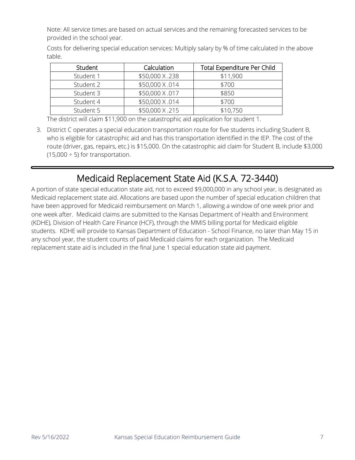Note: All service times are based on actual services and the remaining forecasted services to be provided in the school year.

Costs for delivering special education services: Multiply salary by % of time calculated in the above table.

| Student   | Calculation     | <b>Total Expenditure Per Child</b> |
|-----------|-----------------|------------------------------------|
| Student 1 | \$50,000 X .238 | \$11,900                           |
| Student 2 | \$50,000 X .014 | \$700                              |
| Student 3 | \$50,000 X .017 | \$850                              |
| Student 4 | \$50,000 X .014 | \$700                              |
| Student 5 | \$50,000 X.215  | \$10,750                           |

The district will claim \$11,900 on the catastrophic aid application for student 1.

3. District C operates a special education transportation route for five students including Student B, who is eligible for catastrophic aid and has this transportation identified in the IEP. The cost of the route (driver, gas, repairs, etc.) is \$15,000. On the catastrophic aid claim for Student B, include \$3,000  $(15,000 \div 5)$  for transportation.

# Medicaid Replacement State Aid (K.S.A. 72-3440) Medicaid Replacement State Aid (K.S.A. 72-3440)

<span id="page-6-0"></span>A portion of state special education state aid, not to exceed \$9,000,000 in any school year, is designated as Medicaid replacement state aid. Allocations are based upon the number of special education children that have been approved for Medicaid reimbursement on March 1, allowing a window of one week prior and one week after. Medicaid claims are submitted to the Kansas Department of Health and Environment (KDHE), Division of Health Care Finance (HCF), through the MMIS billing portal for Medicaid eligible students. KDHE will provide to Kansas Department of Education - School Finance, no later than May 15 in any school year, the student counts of paid Medicaid claims for each organization. The Medicaid replacement state aid is included in the final June 1 special education state aid payment.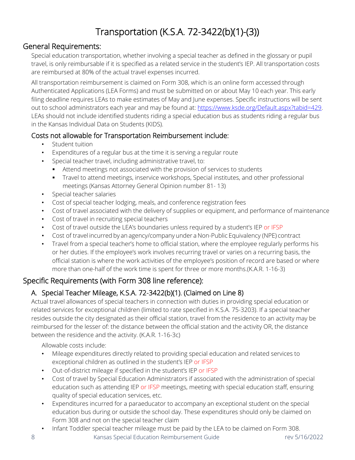# Transportation (K.S.A. 72-3422(b)(1)-(3))

### <span id="page-7-1"></span><span id="page-7-0"></span>General Requirements:

Special education transportation, whether involving a special teacher as defined in the glossary or pupil travel, is only reimbursable if it is specified as a related service in the student's IEP. All transportation costs are reimbursed at 80% of the actual travel expenses incurred.

All transportation reimbursement is claimed on Form 308, which is an online form accessed through Authenticated Applications (LEA Forms) and must be submitted on or about May 10 each year. This early filing deadline requires LEAs to make estimates of May and June expenses. Specific instructions will be sent out to school administrators each year and may be found at: [https://www.ksde.org/Default.aspx?tabid=429.](https://www.ksde.org/Default.aspx?tabid=429) LEAs should not include identified students riding a special education bus as students riding a regular bus in the Kansas Individual Data on Students (KIDS).

### Costs not allowable for Transportation Reimbursement include:

- Student tuition
- Expenditures of a regular bus at the time it is serving a regular route
- Special teacher travel, including administrative travel, to:
	- Attend meetings not associated with the provision of services to students
	- Travel to attend meetings, inservice workshops, Special institutes, and other professional meetings (Kansas Attorney General Opinion number 81- 13)
- Special teacher salaries
- Cost of special teacher lodging, meals, and conference registration fees
- Cost of travel associated with the delivery of supplies or equipment, and performance of maintenance
- Cost of travel in recruiting special teachers
- Cost of travel outside the LEA's boundaries unless required by a student's IEP or IFSP
- Cost of travel incurred by an agency/company under a Non-Public Equivalency (NPE) contract
- Travel from a special teacher's home to official station, where the employee regularly performs his or her duties. If the employee's work involves recurring travel or varies on a recurring basis, the official station is where the work activities of the employee's position of record are based or where more than one-half of the work time is spent for three or more months.(K.A.R. 1-16-3)

## <span id="page-7-2"></span>Specific Requirements (with Form 308 line reference):

### A. Special Teacher Mileage, K.S.A. 72-3422(b)(1). (Claimed on Line 8)

Actual travel allowances of special teachers in connection with duties in providing special education or related services for exceptional children (limited to rate specified in K.S.A. 75-3203). If a special teacher resides outside the city designated as their official station, travel from the residence to an activity may be reimbursed for the lesser of: the distance between the official station and the activity OR, the distance between the residence and the activity. (K.A.R. 1-16-3c)

Allowable costs include:

- Mileage expenditures directly related to providing special education and related services to exceptional children as outlined in the student's IEP or IFSP
- Out-of-district mileage if specified in the student's IEP or IFSP
- Cost of travel by Special Education Administrators if associated with the administration of special education such as attending IEP or IFSP meetings, meeting with special education staff, ensuring quality of special education services, etc.
- Expenditures incurred for a paraeducator to accompany an exceptional student on the special education bus during or outside the school day. These expenditures should only be claimed on Form 308 and not on the special teacher claim
- Infant Toddler special teacher mileage must be paid by the LEA to be claimed on Form 308.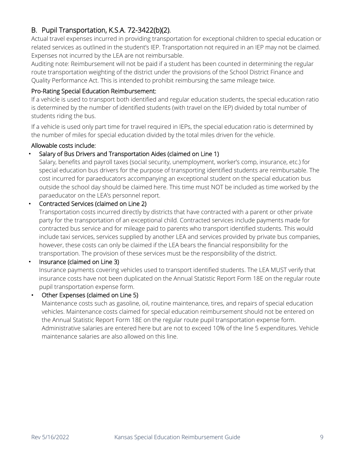### B. Pupil Transportation, K.S.A. 72-3422(b)(2).

Actual travel expenses incurred in providing transportation for exceptional children to special education or related services as outlined in the student's IEP. Transportation not required in an IEP may not be claimed. Expenses not incurred by the LEA are not reimbursable.

Auditing note: Reimbursement will not be paid if a student has been counted in determining the regular route transportation weighting of the district under the provisions of the School District Finance and Quality Performance Act. This is intended to prohibit reimbursing the same mileage twice.

### Pro-Rating Special Education Reimbursement:

If a vehicle is used to transport both identified and regular education students, the special education ratio is determined by the number of identified students (with travel on the IEP) divided by total number of students riding the bus.

If a vehicle is used only part time for travel required in IEPs, the special education ratio is determined by the number of miles for special education divided by the total miles driven for the vehicle.

### Allowable costs include:

### • Salary of Bus Drivers and Transportation Aides (claimed on Line 1)

Salary, benefits and payroll taxes (social security, unemployment, worker's comp, insurance, etc.) for special education bus drivers for the purpose of transporting identified students are reimbursable. The cost incurred for paraeducators accompanying an exceptional student on the special education bus outside the school day should be claimed here. This time must NOT be included as time worked by the paraeducator on the LEA's personnel report.

### • Contracted Services (claimed on Line 2)

Transportation costs incurred directly by districts that have contracted with a parent or other private party for the transportation of an exceptional child. Contracted services include payments made for contracted bus service and for mileage paid to parents who transport identified students. This would include taxi services, services supplied by another LEA and services provided by private bus companies, however, these costs can only be claimed if the LEA bears the financial responsibility for the transportation. The provision of these services must be the responsibility of the district.

### • Insurance (claimed on Line 3)

Insurance payments covering vehicles used to transport identified students. The LEA MUST verify that insurance costs have not been duplicated on the Annual Statistic Report Form 18E on the regular route pupil transportation expense form.

### • Other Expenses (claimed on Line 5)

Maintenance costs such as gasoline, oil, routine maintenance, tires, and repairs of special education vehicles. Maintenance costs claimed for special education reimbursement should not be entered on the Annual Statistic Report Form 18E on the regular route pupil transportation expense form. Administrative salaries are entered here but are not to exceed 10% of the line 5 expenditures. Vehicle maintenance salaries are also allowed on this line.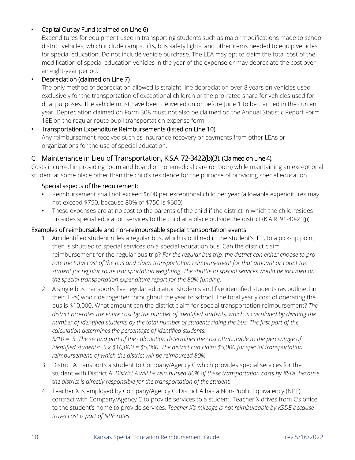### • Capital Outlay Fund (claimed on Line 6)

Expenditures for equipment used in transporting students such as major modifications made to school district vehicles, which include ramps, lifts, bus safety lights, and other items needed to equip vehicles for special education. Do not include vehicle purchase. The LEA may opt to claim the total cost of the modification of special education vehicles in the year of the expense or may depreciate the cost over an eight-year period.

### • Depreciation (claimed on Line 7)

The only method of depreciation allowed is straight-line depreciation over 8 years on vehicles used exclusively for the transportation of exceptional children or the pro-rated share for vehicles used for dual purposes. The vehicle must have been delivered on or before June 1 to be claimed in the current year. Depreciation claimed on Form 308 must not also be claimed on the Annual Statistic Report Form 18E on the regular route pupil transportation expense form.

### • Transportation Expenditure Reimbursements (listed on Line 10) Any reimbursement received such as insurance recovery or payments from other LEAs or organizations for the use of special education.

### C. Maintenance in Lieu of Transportation, K.S.A. 72-3422(b)(3). (Claimed on Line 4).

Costs incurred in providing room and board or non-medical care (or both) while maintaining an exceptional student at some place other than the child's residence for the purpose of providing special education.

### Special aspects of the requirement:

- Reimbursement shall not exceed \$600 per exceptional child per year (allowable expenditures may not exceed \$750, because 80% of \$750 is \$600)
- These expenses are at no cost to the parents of the child if the district in which the child resides provides special education services to the child at a place outside the district (K.A.R. 91-40-21(j))

### Examples of reimbursable and non-reimbursable special transportation events:

- 1. An identified student rides a regular bus, which is outlined in the student's IEP, to a pick-up point, then is shuttled to special services on a special education bus. Can the district claim reimbursement for the regular bus trip? *For the regular bus trip, the district can either choose to pro*rate the total cost of the bus and claim transportation reimbursement for that amount or count the *student for regular route transportation weighting. The shuttle to special services would be included on the special transportation expenditure report for the 80% funding.*
- 2. A single bus transports five regular education students and five identified students (as outlined in their IEPs) who ride together throughout the year to school. The total yearly cost of operating the bus is \$10,000. What amount can the district claim for special transportation reimbursement? *The district pro-rates the entire cost by the number of identified students, which is calculated by dividing the number of identified students by the total number of students riding the bus. The first part of the calculation determines the percentage of identified students:*

*5/10 = .5. The second part of the calculation determines the cost attributable to the percentage of identified students: .5 x \$10,000 = \$5,000. The district can claim \$5,000 for special transportation reimbursement, of which the district will be reimbursed 80%.* 

- 3. District A transports a student to Company/Agency C which provides special services for the student with District A*. District A will be reimbursed 80% of these transportation costs by KSDE because the district is directly responsible for the transportation of the student.*
- 4. Teacher X is employed by Company/Agency C. District A has a Non-Public Equivalency (NPE) contract with Company/Agency C to provide services to a student. Teacher X drives from C's office to the student's home to provide services*. Teacher X's mileage is not reimbursable by KSDE because travel cost is part of NPE rates*.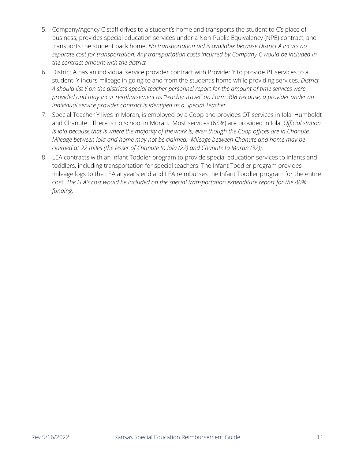- 5. Company/Agency C staff drives to a student's home and transports the student to C's place of business, provides special education services under a Non-Public Equivalency (NPE) contract, and transports the student back home. *No transportation aid is available because District A incurs no separate cost for transportation. Any transportation costs incurred by Company C would be included in the contract amount with the district*
- 6. District A has an individual service provider contract with Provider Y to provide PT services to a student. Y incurs mileage in going to and from the student's home while providing services. *District A should list Y on the district's special teacher personnel report for the amount of time services were provided and may incur reimbursement as "teacher travel" on Form 308 because, a provider under an individual service provider contract is identified as a Special Teacher.*
- 7. Special Teacher Y lives in Moran, is employed by a Coop and provides OT services in Iola, Humboldt and Chanute. There is no school in Moran. Most services (65%) are provided in Iola. *Official station is Iola because that is where the majority of the work is, even though the Coop offices are in Chanute. Mileage between Iola and home may not be claimed. Mileage between Chanute and home may be claimed at 22 miles (the lesser of Chanute to Iola (22) and Chanute to Moran (32)).*
- 8. LEA contracts with an Infant Toddler program to provide special education services to infants and toddlers, including transportation for special teachers. The Infant Toddler program provides mileage logs to the LEA at year's end and LEA reimburses the Infant Toddler program for the entire cost. *The LEA's cost would be included on the special transportation expenditure report for the 80% funding.*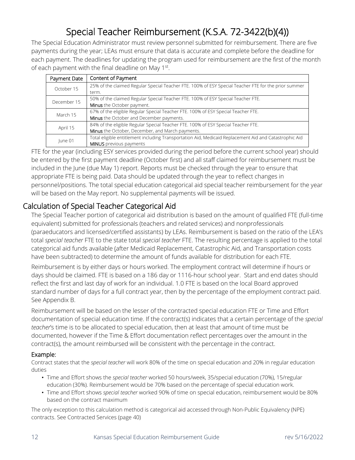# Special Teacher Reimbursement (K.S.A. 72-3422(b)(4))

<span id="page-11-0"></span>The Special Education Administrator must review personnel submitted for reimbursement. There are five payments during the year; LEAs must ensure that data is accurate and complete before the deadline for each payment. The deadlines for updating the program used for reimbursement are the first of the month of each payment with the final deadline on May 1<sup>st</sup>.

| Payment Date | Content of Payment                                                                                     |
|--------------|--------------------------------------------------------------------------------------------------------|
| October 15   | 25% of the claimed Regular Special Teacher FTE. 100% of ESY Special Teacher FTE for the prior summer   |
|              | term.                                                                                                  |
| December 15  | 50% of the claimed Regular Special Teacher FTE. 100% of ESY Special Teacher FTE.                       |
|              | Minus the October payment.                                                                             |
| March 15     | 67% of the eligible Regular Special Teacher FTE. 100% of ESY Special Teacher FTE.                      |
|              | Minus the October and December payments.                                                               |
|              | 84% of the eligible Regular Special Teacher FTE. 100% of ESY Special Teacher FTE.                      |
| April 15     | Minus the October, December, and March payments.                                                       |
| June 01      | Total eligible entitlement including Transportation Aid, Medicaid Replacement Aid and Catastrophic Aid |
|              | <b>MINUS</b> previous payments                                                                         |

FTE for the year (including ESY services provided during the period before the current school year) should be entered by the first payment deadline (October first) and all staff claimed for reimbursement must be included in the June (due May 1) report. Reports must be checked through the year to ensure that appropriate FTE is being paid. Data should be updated through the year to reflect changes in personnel/positions. The total special education categorical aid special teacher reimbursement for the year will be based on the May report. No supplemental payments will be issued.

### <span id="page-11-1"></span>Calculation of Special Teacher Categorical Aid

The Special Teacher portion of categorical aid distribution is based on the amount of qualified FTE (full-time equivalent) submitted for professionals (teachers and related services) and nonprofessionals (paraeducators and licensed/certified assistants) by LEAs. Reimbursement is based on the ratio of the LEA's total *special teacher* FTE to the state total *special teacher* FTE. The resulting percentage is applied to the total categorical aid funds available (after Medicaid Replacement, Catastrophic Aid, and Transportation costs have been subtracted) to determine the amount of funds available for distribution for each FTE.

Reimbursement is by either days or hours worked. The employment contract will determine if hours or days should be claimed. FTE is based on a 186 day or 1116-hour school year. Start and end dates should reflect the first and last day of work for an individual. 1.0 FTE is based on the local Board approved standard number of days for a full contract year, then by the percentage of the employment contract paid. See Appendix B.

Reimbursement will be based on the lesser of the contracted special education FTE or Time and Effort documentation of special education time. If the contract(s) indicates that a certain percentage of the *special teacher*'s time is to be allocated to special education, then at least that amount of time must be documented, however if the Time & Effort documentation reflect percentages over the amount in the contract(s), the amount reimbursed will be consistent with the percentage in the contract.

### Example:

Contract states that the *special teacher* will work 80% of the time on special education and 20% in regular education duties

- Time and Effort shows the *special teacher* worked 50 hours/week, 35/special education (70%), 15/regular education (30%). Reimbursement would be 70% based on the percentage of special education work.
- Time and Effort shows *special teacher* worked 90% of time on special education, reimbursement would be 80% based on the contract maximum

The only exception to this calculation method is categorical aid accessed through Non-Public Equivalency (NPE) contracts. See Contracted Services (page 40)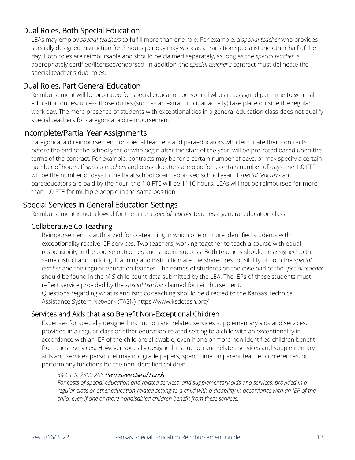### <span id="page-12-0"></span>Dual Roles, Both Special Education

LEAs may employ *special teachers* to fulfill more than one role. For example, a *special teacher* who provides specially designed instruction for 3 hours per day may work as a transition specialist the other half of the day. Both roles are reimbursable and should be claimed separately, as long as the *special teacher* is appropriately certified/licensed/endorsed. In addition, the *special teacher's* contract must delineate the special teacher's dual roles.

### <span id="page-12-1"></span>Dual Roles, Part General Education

Reimbursement will be pro-rated for special education personnel who are assigned part-time to general education duties, unless those duties (such as an extracurricular activity) take place outside the regular work day. The mere presence of students with exceptionalities in a general education class does not qualify special teachers for categorical aid reimbursement.

### <span id="page-12-2"></span>Incomplete/Partial Year Assignments

Categorical aid reimbursement for special teachers and paraeducators who terminate their contracts before the end of the school year or who begin after the start of the year, will be pro-rated based upon the terms of the contract. For example, contracts may be for a certain number of days, or may specify a certain number of hours. If *special teachers* and paraeducators are paid for a certain number of days, the 1.0 FTE will be the number of days in the local school board approved school year. If *special teachers* and paraeducators are paid by the hour, the 1.0 FTE will be 1116 hours. LEAs will not be reimbursed for more than 1.0 FTE for multiple people in the same position.

### <span id="page-12-3"></span>Special Services in General Education Settings

Reimbursement is not allowed for the time a *special teacher* teaches a general education class.

### Collaborative Co-Teaching

Reimbursement is authorized for co-teaching in which one or more identified students with exceptionality receive IEP services. Two teachers, working together to teach a course with equal responsibility in the course outcomes and student success. Both teachers should be assigned to the same district and building. Planning and instruction are the shared responsibility of both the *special teacher* and the regular education teacher. The names of students on the caseload of the *special teacher* should be found in the MIS child count data submitted by the LEA. The IEPs of these students must reflect service provided by the *special teacher* claimed for reimbursement.

Questions regarding what is and isn't co-teaching should be directed to the Kansas Technical Assistance System Network (TASN) https://www.ksdetasn.org/

### Services and Aids that also Benefit Non-Exceptional Children

Expenses for specially designed instruction and related services supplementary aids and services, provided in a regular class or other education-related setting to a child with an exceptionality in accordance with an IEP of the child are allowable, even if one or more non-identified children benefit from these services. However specially designed instruction and related services and supplementary aids and services personnel may not grade papers, spend time on parent teacher conferences, or perform any functions for the non-identified children.

### *34 C.F.R. §300.208* Permissive Use of Funds

*For costs of special education and related services, and supplementary aids and services, provided in a regular class or other education-related setting to a child with a disability in accordance with an IEP of the child, even if one or more nondisabled children benefit from these services.*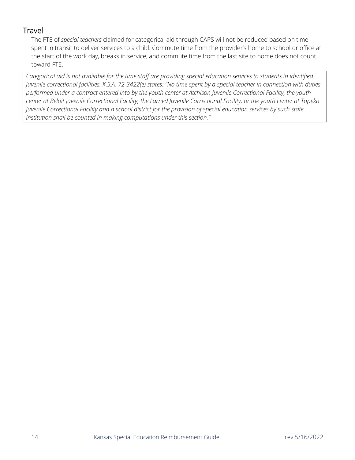### <span id="page-13-0"></span>**Travel**

The FTE of *special teachers* claimed for categorical aid through CAPS will not be reduced based on time spent in transit to deliver services to a child. Commute time from the provider's home to school or office at the start of the work day, breaks in service, and commute time from the last site to home does not count toward FTE.

*Categorical aid is not available for the time staff are providing special education services to students in identified juvenile correctional facilities. K.S.A. 72-3422(e) states: "No time spent by a special teacher in connection with duties performed under a contract entered into by the youth center at Atchison Juvenile Correctional Facility, the youth center at Beloit Juvenile Correctional Facility, the Larned Juvenile Correctional Facility, or the youth center at Topeka Juvenile Correctional Facility and a school district for the provision of special education services by such state institution shall be counted in making computations under this section."*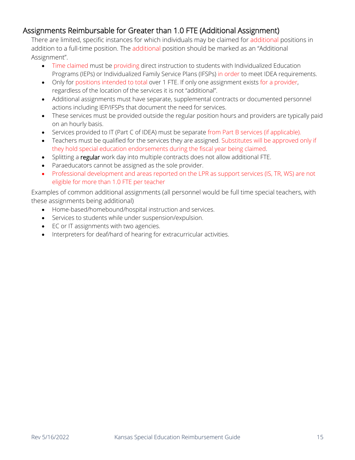### <span id="page-14-0"></span>Assignments Reimbursable for Greater than 1.0 FTE (Additional Assignment)

There are limited, specific instances for which individuals may be claimed for additional positions in addition to a full-time position. The additional position should be marked as an "Additional Assignment".

- Time claimed must be providing direct instruction to students with Individualized Education Programs (IEPs) or Individualized Family Service Plans (IFSPs) in order to meet IDEA requirements.
- Only for positions intended to total over 1 FTE. If only one assignment exists for a provider, regardless of the location of the services it is not "additional".
- Additional assignments must have separate, supplemental contracts or documented personnel actions including IEP/IFSPs that document the need for services.
- These services must be provided outside the regular position hours and providers are typically paid on an hourly basis.
- Services provided to IT (Part C of IDEA) must be separate from Part B services (if applicable).
- Teachers must be qualified for the services they are assigned. Substitutes will be approved only if they hold special education endorsements during the fiscal year being claimed.
- Splitting a regular work day into multiple contracts does not allow additional FTE.
- Paraeducators cannot be assigned as the sole provider.
- Professional development and areas reported on the LPR as support services (IS, TR, WS) are not eligible for more than 1.0 FTE per teacher

Examples of common additional assignments (all personnel would be full time special teachers, with these assignments being additional)

- Home-based/homebound/hospital instruction and services.
- Services to students while under suspension/expulsion.
- EC or IT assignments with two agencies.
- Interpreters for deaf/hard of hearing for extracurricular activities.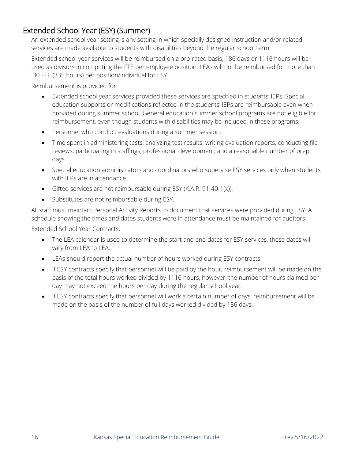### <span id="page-15-0"></span>Extended School Year (ESY) (Summer)

An extended school year setting is any setting in which specially designed instruction and/or related services are made available to students with disabilities beyond the regular school term.

Extended school year services will be reimbursed on a pro-rated basis; 186 days or 1116 hours will be used as divisors in computing the FTE per employee position. LEAs will not be reimbursed for more than .30 FTE (335 hours) per position/individual for ESY.

Reimbursement is provided for:

- Extended school year services provided these services are specified in students' IEPs. Special education supports or modifications reflected in the students' IEPs are reimbursable even when provided during summer school. General education summer school programs are not eligible for reimbursement, even though students with disabilities may be included in these programs.
- Personnel who conduct evaluations during a summer session.
- Time spent in administering tests, analyzing test results, writing evaluation reports, conducting file reviews, participating in staffings, professional development, and a reasonable number of prep days.
- Special education administrators and coordinators who supervise ESY services only when students with IEPs are in attendance.
- Gifted services are not reimbursable during ESY (K.A.R. 91-40-1(x)).
- Substitutes are not reimbursable during ESY.

All staff must maintain Personal Activity Reports to document that services were provided during ESY. A schedule showing the times and dates students were in attendance must be maintained for auditors.

Extended School Year Contracts:

- The LEA calendar is used to determine the start and end dates for ESY services, these dates will vary from LEA to LEA.
- LEAs should report the actual number of hours worked during ESY contracts.
- If ESY contracts specify that personnel will be paid by the hour, reimbursement will be made on the basis of the total hours worked divided by 1116 hours, however, the number of hours claimed per day may not exceed the hours per day during the regular school year.
- If ESY contracts specify that personnel will work a certain number of days, reimbursement will be made on the basis of the number of full days worked divided by 186 days.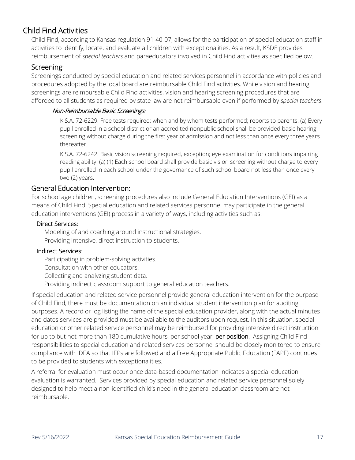### <span id="page-16-0"></span>Child Find Activities

Child Find, according to Kansas regulation 91-40-07, allows for the participation of special education staff in activities to identify, locate, and evaluate all children with exceptionalities. As a result, KSDE provides reimbursement of *special teachers* and paraeducators involved in Child Find activities as specified below.

### Screening:

Screenings conducted by special education and related services personnel in accordance with policies and procedures adopted by the local board are reimbursable Child Find activities. While vision and hearing screenings are reimbursable Child Find activities, vision and hearing screening procedures that are afforded to all students as required by state law are not reimbursable even if performed by *special teachers*.

### Non-Reimbursable Basic Screenings:

K.S.A. 72-6229. Free tests required; when and by whom tests performed; reports to parents. (a) Every pupil enrolled in a school district or an accredited nonpublic school shall be provided basic hearing screening without charge during the first year of admission and not less than once every three years thereafter.

K.S.A. 72-6242. Basic vision screening required, exception; eye examination for conditions impairing reading ability. (a) (1) Each school board shall provide basic vision screening without charge to every pupil enrolled in each school under the governance of such school board not less than once every two (2) years.

### General Education Intervention:

For school age children, screening procedures also include General Education Interventions (GEI) as a means of Child Find. Special education and related services personnel may participate in the general education interventions (GEI) process in a variety of ways, including activities such as:

### Direct Services:

Modeling of and coaching around instructional strategies. Providing intensive, direct instruction to students.

### Indirect Services:

Participating in problem-solving activities. Consultation with other educators. Collecting and analyzing student data. Providing indirect classroom support to general education teachers.

If special education and related service personnel provide general education intervention for the purpose of Child Find, there must be documentation on an individual student intervention plan for auditing purposes. A record or log listing the name of the special education provider, along with the actual minutes and dates services are provided must be available to the auditors upon request. In this situation, special education or other related service personnel may be reimbursed for providing intensive direct instruction for up to but not more than 180 cumulative hours, per school year, per position. Assigning Child Find responsibilities to special education and related services personnel should be closely monitored to ensure compliance with IDEA so that IEPs are followed and a Free Appropriate Public Education (FAPE) continues to be provided to students with exceptionalities.

A referral for evaluation must occur once data-based documentation indicates a special education evaluation is warranted. Services provided by special education and related service personnel solely designed to help meet a non-identified child's need in the general education classroom are not reimbursable.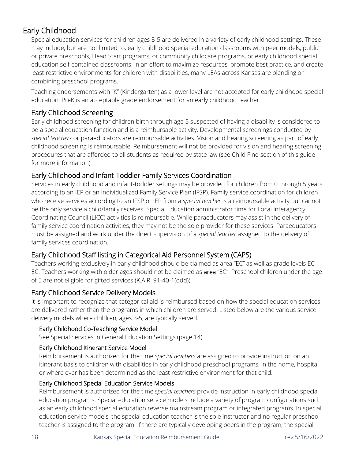# <span id="page-17-0"></span>Early Childhood

Special education services for children ages 3-5 are delivered in a variety of early childhood settings. These may include, but are not limited to, early childhood special education classrooms with peer models, public or private preschools, Head Start programs, or community childcare programs, or early childhood special education self-contained classrooms. In an effort to maximize resources, promote best practice, and create least restrictive environments for children with disabilities, many LEAs across Kansas are blending or combining preschool programs.

Teaching endorsements with "K" (Kindergarten) as a lower level are not accepted for early childhood special education. PreK is an acceptable grade endorsement for an early childhood teacher.

### Early Childhood Screening

Early childhood screening for children birth through age 5 suspected of having a disability is considered to be a special education function and is a reimbursable activity. Developmental screenings conducted by *special teachers* or paraeducators are reimbursable activities. Vision and hearing screening as part of early childhood screening is reimbursable. Reimbursement will not be provided for vision and hearing screening procedures that are afforded to all students as required by state law (see Child Find section of this guide for more information).

### Early Childhood and Infant-Toddler Family Services Coordination

Services in early childhood and infant-toddler settings may be provided for children from 0 through 5 years according to an IEP or an Individualized Family Service Plan (IFSP). Family service coordination for children who receive services according to an IFSP or IEP from a *special teacher* is a reimbursable activity but cannot be the only service a child/family receives. Special Education administrator time for Local Interagency Coordinating Council (LICC) activities is reimbursable. While paraeducators may assist in the delivery of family service coordination activities, they may not be the sole provider for these services. Paraeducators must be assigned and work under the direct supervision of a *special teacher* assigned to the delivery of family services coordination.

### Early Childhood Staff listing in Categorical Aid Personnel System (CAPS)

Teachers working exclusively in early childhood should be claimed as area "EC" as well as grade levels EC-EC. Teachers working with older ages should not be claimed as **area** "EC". Preschool children under the age of 5 are not eligible for gifted services (K.A.R. 91-40-1(ddd))

### Early Childhood Service Delivery Models

It is important to recognize that categorical aid is reimbursed based on how the special education services are delivered rather than the programs in which children are served. Listed below are the various service delivery models where children, ages 3-5, are typically served.

### Early Childhood Co-Teaching Service Model

See Special Services in General Education Settings (page 14).

### Early Childhood Itinerant Service Model

Reimbursement is authorized for the time *special teachers* are assigned to provide instruction on an itinerant basis to children with disabilities in early childhood preschool programs, in the home, hospital or where ever has been determined as the least restrictive environment for that child.

### Early Childhood Special Education Service Models

Reimbursement is authorized for the time *special teachers* provide instruction in early childhood special education programs. Special education service models include a variety of program configurations such as an early childhood special education reverse mainstream program or integrated programs. In special education service models, the special education teacher is the sole instructor and no regular preschool teacher is assigned to the program. If there are typically developing peers in the program, the special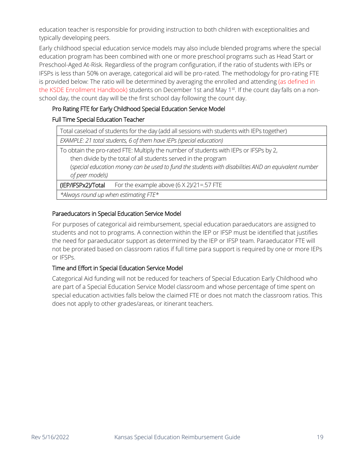education teacher is responsible for providing instruction to both children with exceptionalities and typically developing peers.

Early childhood special education service models may also include blended programs where the special education program has been combined with one or more preschool programs such as Head Start or Preschool-Aged At-Risk. Regardless of the program configuration, if the ratio of students with IEPs or IFSPs is less than 50% on average, categorical aid will be pro-rated. The methodology for pro-rating FTE is provided below: The ratio will be determined by averaging the enrolled and attending (as defined in the KSDE Enrollment Handbook) students on December 1st and May 1st. If the count day falls on a nonschool day, the count day will be the first school day following the count day.

### Pro Rating FTE for Early Childhood Special Education Service Model

### Full Time Special Education Teacher

| Total caseload of students for the day (add all sessions with students with IEPs together)                                                                                                                                                                                         |  |  |  |  |  |  |
|------------------------------------------------------------------------------------------------------------------------------------------------------------------------------------------------------------------------------------------------------------------------------------|--|--|--|--|--|--|
| EXAMPLE: 21 total students, 6 of them have IEPs (special education)                                                                                                                                                                                                                |  |  |  |  |  |  |
| To obtain the pro-rated FTE: Multiply the number of students with IEPs or IFSPs by 2,<br>then divide by the total of all students served in the program<br>(special education money can be used to fund the students with disabilities AND an equivalent number<br>of peer models) |  |  |  |  |  |  |
| (IEP/IFSPx2)/Total<br>For the example above $(6 \times 2)/21 = .57$ FTE                                                                                                                                                                                                            |  |  |  |  |  |  |
| *Always round up when estimating FTE*                                                                                                                                                                                                                                              |  |  |  |  |  |  |

### Paraeducators in Special Education Service Model

For purposes of categorical aid reimbursement, special education paraeducators are assigned to students and not to programs. A connection within the IEP or IFSP must be identified that justifies the need for paraeducator support as determined by the IEP or IFSP team. Paraeducator FTE will not be prorated based on classroom ratios if full time para support is required by one or more IEPs or IFSPs.

### Time and Effort in Special Education Service Model

Categorical Aid funding will not be reduced for teachers of Special Education Early Childhood who are part of a Special Education Service Model classroom and whose percentage of time spent on special education activities falls below the claimed FTE or does not match the classroom ratios. This does not apply to other grades/areas, or itinerant teachers.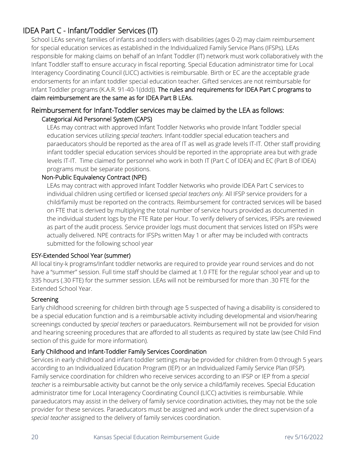### <span id="page-19-0"></span>IDEA Part C - Infant/Toddler Services (IT)

School LEAs serving families of infants and toddlers with disabilities (ages 0-2) may claim reimbursement for special education services as established in the Individualized Family Service Plans (IFSPs). LEAs responsible for making claims on behalf of an Infant Toddler (IT) network must work collaboratively with the Infant Toddler staff to ensure accuracy in fiscal reporting. Special Education administrator time for Local Interagency Coordinating Council (LICC) activities is reimbursable. Birth or EC are the acceptable grade endorsements for an infant toddler special education teacher. Gifted services are not reimbursable for Infant Toddler programs (K.A.R. 91-40-1(ddd)). The rules and requirements for IDEA Part C programs to claim reimbursement are the same as for IDEA Part B LEAs.

### Reimbursement for Infant-Toddler services may be claimed by the LEA as follows: Categorical Aid Personnel System (CAPS)

LEAs may contract with approved Infant Toddler Networks who provide Infant Toddler special education services utilizing *special teachers*. Infant-toddler special education teachers and paraeducators should be reported as the area of IT as well as grade levels IT-IT. Other staff providing infant toddler special education services should be reported in the appropriate area but with grade levels IT-IT. Time claimed for personnel who work in both IT (Part C of IDEA) and EC (Part B of IDEA) programs must be separate positions.

### Non-Public Equivalency Contract (NPE)

LEAs may contract with approved Infant Toddler Networks who provide IDEA Part C services to individual children using certified or licensed *special teachers only.* All IFSP service providers for a child/family must be reported on the contracts. Reimbursement for contracted services will be based on FTE that is derived by multiplying the total number of service hours provided as documented in the individual student logs by the FTE Rate per Hour. To verify delivery of services, IFSPs are reviewed as part of the audit process. Service provider logs must document that services listed on IFSPs were actually delivered. NPE contracts for IFSPs written May 1 or after may be included with contracts submitted for the following school year

### ESY-Extended School Year (summer)

All local tiny-k programs/Infant toddler networks are required to provide year round services and do not have a "summer" session. Full time staff should be claimed at 1.0 FTE for the regular school year and up to 335 hours (.30 FTE) for the summer session. LEAs will not be reimbursed for more than .30 FTE for the Extended School Year.

### Screening

Early childhood screening for children birth through age 5 suspected of having a disability is considered to be a special education function and is a reimbursable activity including developmental and vision/hearing screenings conducted by *special teachers* or paraeducators. Reimbursement will not be provided for vision and hearing screening procedures that are afforded to all students as required by state law (see Child Find section of this guide for more information).

### Early Childhood and Infant-Toddler Family Services Coordination

Services in early childhood and infant-toddler settings may be provided for children from 0 through 5 years according to an Individualized Education Program (IEP) or an Individualized Family Service Plan (IFSP). Family service coordination for children who receive services according to an IFSP or IEP from a *special teacher* is a reimbursable activity but cannot be the only service a child/family receives. Special Education administrator time for Local Interagency Coordinating Council (LICC) activities is reimbursable. While paraeducators may assist in the delivery of family service coordination activities, they may not be the sole provider for these services. Paraeducators must be assigned and work under the direct supervision of a *special teacher* assigned to the delivery of family services coordination.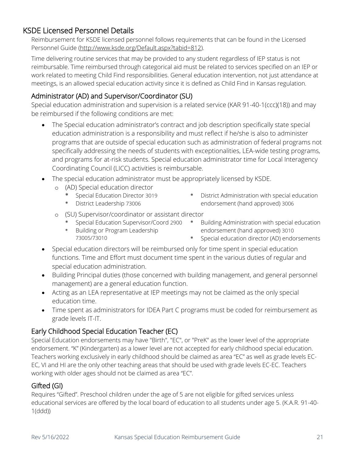### <span id="page-20-0"></span>KSDE Licensed Personnel Details

Reimbursement for KSDE licensed personnel follows requirements that can be found in the Licensed Personnel Guide [\(http://www.ksde.org/Default.aspx?tabid=812\)](http://www.ksde.org/Default.aspx?tabid=812).

Time delivering routine services that may be provided to any student regardless of IEP status is not reimbursable. Time reimbursed through categorical aid must be related to services specified on an IEP or work related to meeting Child Find responsibilities. General education intervention, not just attendance at meetings, is an allowed special education activity since it is defined as Child Find in Kansas regulation.

### Administrator (AD) and Supervisor/Coordinator (SU)

Special education administration and supervision is a related service (KAR 91-40-1(ccc)(18)) and may be reimbursed if the following conditions are met:

- The Special education administrator's contract and job description specifically state special education administration is a responsibility and must reflect if he/she is also to administer programs that are outside of special education such as administration of federal programs not specifically addressing the needs of students with exceptionalities, LEA-wide testing programs, and programs for at-risk students. Special education administrator time for Local Interagency Coordinating Council (LICC) activities is reimbursable.
- The special education administrator must be appropriately licensed by KSDE.
	- o (AD) Special education director
		- Special Education Director 3019
		- \* District Leadership 73006
- \* District Administration with special education endorsement (hand approved) 3006
- o (SU) Supervisor/coordinator or assistant director
	- \* Special Education Supervisor/Coord 2900
	- \* Building or Program Leadership 73005/73010
- Building Administration with special education endorsement (hand approved) 3010
- \* Special education director (AD) endorsements
- Special education directors will be reimbursed only for time spent in special education functions. Time and Effort must document time spent in the various duties of regular and special education administration.
- Building Principal duties (those concerned with building management, and general personnel management) are a general education function.
- Acting as an LEA representative at IEP meetings may not be claimed as the only special education time.
- Time spent as administrators for IDEA Part C programs must be coded for reimbursement as grade levels IT-IT.

### Early Childhood Special Education Teacher (EC)

Special Education endorsements may have "Birth", "EC", or "PreK" as the lower level of the appropriate endorsement. "K" (Kindergarten) as a lower level are not accepted for early childhood special education. Teachers working exclusively in early childhood should be claimed as area "EC" as well as grade levels EC-EC, VI and HI are the only other teaching areas that should be used with grade levels EC-EC. Teachers working with older ages should not be claimed as area "EC".

### Gifted (GI)

Requires "Gifted". Preschool children under the age of 5 are not eligible for gifted services unless educational services are offered by the local board of education to all students under age 5. (K.A.R. 91-40- 1(ddd))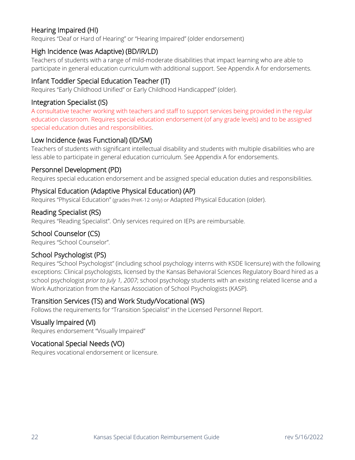### Hearing Impaired (HI)

Requires "Deaf or Hard of Hearing" or "Hearing Impaired" (older endorsement)

### High Incidence (was Adaptive) (BD/IR/LD)

Teachers of students with a range of mild-moderate disabilities that impact learning who are able to participate in general education curriculum with additional support. See Appendix A for endorsements.

### Infant Toddler Special Education Teacher (IT)

Requires "Early Childhood Unified" or Early Childhood Handicapped" (older).

### Integration Specialist (IS)

A consultative teacher working with teachers and staff to support services being provided in the regular education classroom. Requires special education endorsement (of any grade levels) and to be assigned special education duties and responsibilities.

### Low Incidence (was Functional) (ID/SM)

Teachers of students with significant intellectual disability and students with multiple disabilities who are less able to participate in general education curriculum. See Appendix A for endorsements.

### Personnel Development (PD)

Requires special education endorsement and be assigned special education duties and responsibilities.

### Physical Education (Adaptive Physical Education) (AP)

Requires "Physical Education" (grades PreK-12 only) or Adapted Physical Education (older).

### Reading Specialist (RS)

Requires "Reading Specialist". Only services required on IEPs are reimbursable.

### School Counselor (CS)

Requires "School Counselor".

### School Psychologist (PS)

Requires "School Psychologist" (including school psychology interns with KSDE licensure) with the following exceptions: Clinical psychologists, licensed by the Kansas Behavioral Sciences Regulatory Board hired as a school psychologist *prior to July 1, 2007*; school psychology students with an existing related license and a Work Authorization from the Kansas Association of School Psychologists (KASP).

### Transition Services (TS) and Work Study/Vocational (WS)

Follows the requirements for "Transition Specialist" in the Licensed Personnel Report.

### Visually Impaired (VI)

Requires endorsement "Visually Impaired"

### Vocational Special Needs (VO)

Requires vocational endorsement or licensure.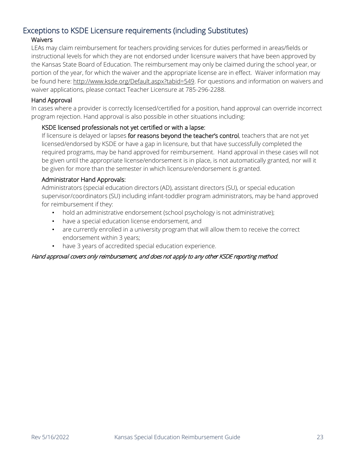### <span id="page-22-0"></span>Exceptions to KSDE Licensure requirements (including Substitutes)

### **Waivers**

LEAs may claim reimbursement for teachers providing services for duties performed in areas/fields or instructional levels for which they are not endorsed under licensure waivers that have been approved by the Kansas State Board of Education. The reimbursement may only be claimed during the school year, or portion of the year, for which the waiver and the appropriate license are in effect. Waiver information may be found here: [http://www.ksde.org/Default.aspx?tabid=549.](http://www.ksde.org/Default.aspx?tabid=549) For questions and information on waivers and waiver applications, please contact Teacher Licensure at 785-296-2288.

### Hand Approval

In cases where a provider is correctly licensed/certified for a position, hand approval can override incorrect program rejection. Hand approval is also possible in other situations including:

### KSDE licensed professionals not yet certified or with a lapse:

If licensure is delayed or lapses for reasons beyond the teacher's control, teachers that are not yet licensed/endorsed by KSDE or have a gap in licensure, but that have successfully completed the required programs, may be hand approved for reimbursement. Hand approval in these cases will not be given until the appropriate license/endorsement is in place, is not automatically granted, nor will it be given for more than the semester in which licensure/endorsement is granted.

### Administrator Hand Approvals:

Administrators (special education directors (AD), assistant directors (SU), or special education supervisor/coordinators (SU) including infant-toddler program administrators, may be hand approved for reimbursement if they:

- hold an administrative endorsement (school psychology is not administrative);
- have a special education license endorsement, and
- are currently enrolled in a university program that will allow them to receive the correct endorsement within 3 years;
- have 3 years of accredited special education experience.

### Hand approval covers only reimbursement, and does not apply to any other KSDE reporting method.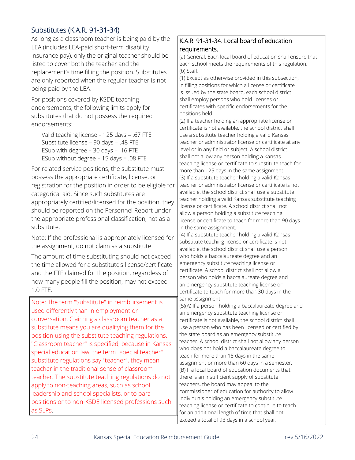Substitutes (K.A.R. 91-31-34)<br>As long as a classroom teacher is being paid by the LEA (includes LEA-paid short-term disability insurance pay), only the original teacher should be listed to cover both the teacher and the replacement's time filling the position. Substitutes are only reported when the regular teacher is not being paid by the LEA.

For positions covered by KSDE teaching endorsements, the following limits apply for substitutes that do not possess the required endorsements:

Valid teaching license – 125 days = .67 FTE Substitute license – 90 days = .48 FTE ESub with degree  $-30$  days  $= .16$  FTE ESub without degree – 15 days = .08 FTE

For related service positions, the substitute must possess the appropriate certificate, license, or registration for the position in order to be eligible for categorical aid. Since such substitutes are appropriately certified/licensed for the position, they should be reported on the Personnel Report under the appropriate professional classification, not as a substitute.

Note: If the professional is appropriately licensed for the assignment, do not claim as a substitute

The amount of time substituting should not exceed the time allowed for a substitute's license/certificate and the FTE claimed for the position, regardless of how many people fill the position, may not exceed 1.0 FTE.

Note: The term "Substitute" in reimbursement is used differently than in employment or conversation. Claiming a classroom teacher as a substitute means you are qualifying them for the position using the substitute teaching regulations. "Classroom teacher" is specified, because in Kansas special education law, the term "special teacher" substitute regulations say "teacher", they mean teacher in the traditional sense of classroom teacher. The substitute teaching regulations do not apply to non-teaching areas, such as school leadership and school specialists, or to para positions or to non-KSDE licensed professions such as SLPs.

### K.A.R. 91-31-34. Local board of education requirements.

(a) General. Each local board of education shall ensure that each school meets the requirements of this regulation. (b) Staff.

(1) Except as otherwise provided in this subsection, in filling positions for which a license or certificate is issued by the state board, each school district shall employ persons who hold licenses or certificates with specific endorsements for the positions held.

(2) If a teacher holding an appropriate license or certificate is not available, the school district shall use a substitute teacher holding a valid Kansas teacher or administrator license or certificate at any level or in any field or subject. A school district shall not allow any person holding a Kansas teaching license or certificate to substitute teach for more than 125 days in the same assignment. (3) If a substitute teacher holding a valid Kansas teacher or administrator license or certificate is not available, the school district shall use a substitute teacher holding a valid Kansas substitute teaching license or certificate. A school district shall not allow a person holding a substitute teaching license or certificate to teach for more than 90 days in the same assignment.

(4) If a substitute teacher holding a valid Kansas substitute teaching license or certificate is not available, the school district shall use a person who holds a baccalaureate degree and an emergency substitute teaching license or certificate. A school district shall not allow a person who holds a baccalaureate degree and an emergency substitute teaching license or certificate to teach for more than 30 days in the same assignment.

(5)(A) If a person holding a baccalaureate degree and an emergency substitute teaching license or certificate is not available, the school district shall use a person who has been licensed or certified by the state board as an emergency substitute teacher. A school district shall not allow any person who does not hold a baccalaureate degree to teach for more than 15 days in the same assignment or more than 60 days in a semester. (B) If a local board of education documents that there is an insufficient supply of substitute teachers, the board may appeal to the commissioner of education for authority to allow individuals holding an emergency substitute teaching license or certificate to continue to teach for an additional length of time that shall not exceed a total of 93 days in a school year.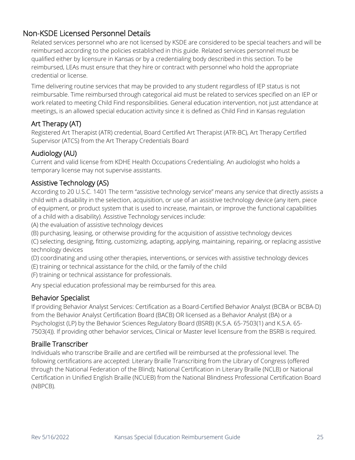### <span id="page-24-0"></span>Non-KSDE Licensed Personnel Details

Related services personnel who are not licensed by KSDE are considered to be special teachers and will be reimbursed according to the policies established in this guide. Related services personnel must be qualified either by licensure in Kansas or by a credentialing body described in this section. To be reimbursed, LEAs must ensure that they hire or contract with personnel who hold the appropriate credential or license.

Time delivering routine services that may be provided to any student regardless of IEP status is not reimbursable. Time reimbursed through categorical aid must be related to services specified on an IEP or work related to meeting Child Find responsibilities. General education intervention, not just attendance at meetings, is an allowed special education activity since it is defined as Child Find in Kansas regulation

### Art Therapy (AT)

Registered Art Therapist (ATR) credential, Board Certified Art Therapist (ATR-BC), Art Therapy Certified Supervisor (ATCS) from the Art Therapy Credentials Board

### Audiology (AU)

Current and valid license from KDHE Health Occupations Credentialing. An audiologist who holds a temporary license may not supervise assistants.

### Assistive Technology (AS)

According to 20 U.S.C. 1401 The term "assistive technology service" means any service that directly assists a child with a disability in the selection, acquisition, or use of an assistive technology device (any item, piece of equipment, or product system that is used to increase, maintain, or improve the functional capabilities of a child with a disability). Assistive Technology services include:

(A) the evaluation of assistive technology devices

(B) purchasing, leasing, or otherwise providing for the acquisition of assistive technology devices

(C) selecting, designing, fitting, customizing, adapting, applying, maintaining, repairing, or replacing assistive technology devices

(D) coordinating and using other therapies, interventions, or services with assistive technology devices

(E) training or technical assistance for the child, or the family of the child

(F) training or technical assistance for professionals.

Any special education professional may be reimbursed for this area.

### Behavior Specialist

If providing Behavior Analyst Services: Certification as a Board-Certified Behavior Analyst (BCBA or BCBA-D) from the Behavior Analyst Certification Board (BACB) OR licensed as a Behavior Analyst (BA) or a Psychologist (LP) by the Behavior Sciences Regulatory Board (BSRB) (K.S.A. 65-7503(1) and K.S.A. 65- 7503(4)). If providing other behavior services, Clinical or Master level licensure from the BSRB is required.

### Braille Transcriber

Individuals who transcribe Braille and are certified will be reimbursed at the professional level. The following certifications are accepted: Literary Braille Transcribing from the Library of Congress (offered through the National Federation of the Blind); National Certification in Literary Braille (NCLB) or National Certification in Unified English Braille (NCUEB) from the National Blindness Professional Certification Board (NBPCB).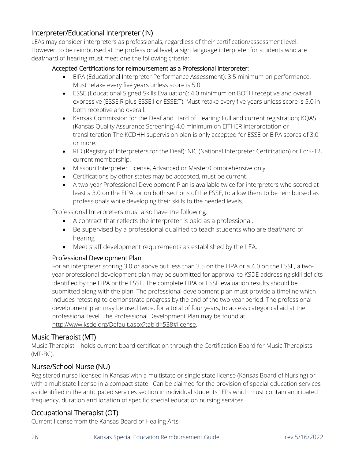### Interpreter/Educational Interpreter (IN)

LEAs may consider interpreters as professionals, regardless of their certification/assessment level. However, to be reimbursed at the professional level, a sign language interpreter for students who are deaf/hard of hearing must meet one the following criteria:

### Accepted Certifications for reimbursement as a Professional Interpreter:

- EIPA (Educational Interpreter Performance Assessment): 3.5 minimum on performance. Must retake every five years unless score is 5.0
- ESSE (Educational Signed Skills Evaluation): 4.0 minimum on BOTH receptive and overall expressive (ESSE:R plus ESSE:I or ESSE:T). Must retake every five years unless score is 5.0 in both receptive and overall.
- Kansas Commission for the Deaf and Hard of Hearing: Full and current registration; KQAS (Kansas Quality Assurance Screening) 4.0 minimum on EITHER interpretation or transliteration The KCDHH supervision plan is only accepted for ESSE or EIPA scores of 3.0 or more.
- RID (Registry of Interpreters for the Deaf): NIC (National Interpreter Certification) or Ed:K-12, current membership.
- Missouri Interpreter License, Advanced or Master/Comprehensive only.
- Certifications by other states may be accepted, must be current.
- A two-year Professional Development Plan is available twice for interpreters who scored at least a 3.0 on the EIPA, or on both sections of the ESSE, to allow them to be reimbursed as professionals while developing their skills to the needed levels.

Professional Interpreters must also have the following:

- A contract that reflects the interpreter is paid as a professional,
- Be supervised by a professional qualified to teach students who are deaf/hard of hearing
- Meet staff development requirements as established by the LEA.

### Professional Development Plan

For an interpreter scoring 3.0 or above but less than 3.5 on the EIPA or a 4.0 on the ESSE, a twoyear professional development plan may be submitted for approval to KSDE addressing skill deficits identified by the EIPA or the ESSE. The complete EIPA or ESSE evaluation results should be submitted along with the plan. The professional development plan must provide a timeline which includes retesting to demonstrate progress by the end of the two-year period. The professional development plan may be used twice, for a total of four years, to access categorical aid at the professional level. The Professional Development Plan may be found at [http://www.ksde.org/Default.aspx?tabid=538#license.](http://www.ksde.org/Default.aspx?tabid=538#license)

### Music Therapist (MT)

Music Therapist – holds current board certification through the Certification Board for Music Therapists (MT-BC).

### Nurse/School Nurse (NU)

Registered nurse licensed in Kansas with a multistate or single state license (Kansas Board of Nursing) or with a multistate license in a compact state. Can be claimed for the provision of special education services as identified in the anticipated services section in individual students' IEPs which must contain anticipated frequency, duration and location of specific special education nursing services.

### Occupational Therapist (OT)

Current license from the Kansas Board of Healing Arts.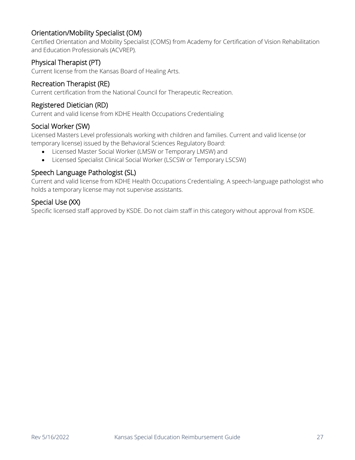### Orientation/Mobility Specialist (OM)

Certified Orientation and Mobility Specialist (COMS) from Academy for Certification of Vision Rehabilitation and Education Professionals (ACVREP).

### Physical Therapist (PT)

Current license from the Kansas Board of Healing Arts.

### Recreation Therapist (RE)

Current certification from the National Council for Therapeutic Recreation.

### Registered Dietician (RD)

Current and valid license from KDHE Health Occupations Credentialing

### Social Worker (SW)

Licensed Masters Level professionals working with children and families. Current and valid license (or temporary license) issued by the Behavioral Sciences Regulatory Board:

- Licensed Master Social Worker (LMSW or Temporary LMSW) and
- Licensed Specialist Clinical Social Worker (LSCSW or Temporary LSCSW)

### Speech Language Pathologist (SL)

Current and valid license from KDHE Health Occupations Credentialing. A speech-language pathologist who holds a temporary license may not supervise assistants.

### Special Use (XX)

Specific licensed staff approved by KSDE. Do not claim staff in this category without approval from KSDE.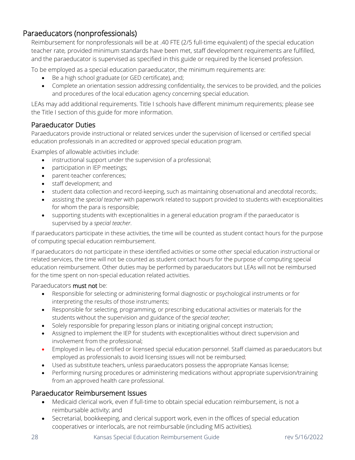### <span id="page-27-0"></span>Paraeducators (nonprofessionals)

Reimbursement for nonprofessionals will be at .40 FTE (2/5 full-time equivalent) of the special education teacher rate*,* provided minimum standards have been met, staff development requirements are fulfilled, and the paraeducator is supervised as specified in this guide or required by the licensed profession.

To be employed as a special education paraeducator, the minimum requirements are:

- Be a high school graduate (or GED certificate), and;
- Complete an orientation session addressing confidentiality, the services to be provided, and the policies and procedures of the local education agency concerning special education.

LEAs may add additional requirements. Title I schools have different minimum requirements; please see the Title I section of this guide for more information.

### Paraeducator Duties

Paraeducators provide instructional or related services under the supervision of licensed or certified special education professionals in an accredited or approved special education program.

Examples of allowable activities include:

- instructional support under the supervision of a professional;
- participation in IEP meetings;
- parent-teacher conferences;
- staff development; and
- student data collection and record-keeping, such as maintaining observational and anecdotal records;.
- assisting the *special teacher* with paperwork related to support provided to students with exceptionalities for whom the para is responsible;
- supporting students with exceptionalities in a general education program if the paraeducator is supervised by a *special teacher*.

If paraeducators participate in these activities, the time will be counted as student contact hours for the purpose of computing special education reimbursement.

If paraeducators do not participate in these identified activities or some other special education instructional or related services, the time will not be counted as student contact hours for the purpose of computing special education reimbursement. Other duties may be performed by paraeducators but LEAs will not be reimbursed for the time spent on non-special education related activities.

### Paraeducators must not be:

- Responsible for selecting or administering formal diagnostic or psychological instruments or for interpreting the results of those instruments;
- Responsible for selecting, programming, or prescribing educational activities or materials for the students without the supervision and guidance of the *special teacher*;
- Solely responsible for preparing lesson plans or initiating original concept instruction;
- Assigned to implement the IEP for students with exceptionalities without direct supervision and involvement from the professional;
- Employed in lieu of certified or licensed special education personnel. Staff claimed as paraeducators but employed as professionals to avoid licensing issues will not be reimbursed;
- Used as substitute teachers, unless paraeducators possess the appropriate Kansas license;
- Performing nursing procedures or administering medications without appropriate supervision/training from an approved health care professional.

### Paraeducator Reimbursement Issues

- Medicaid clerical work, even if full-time to obtain special education reimbursement, is not a reimbursable activity; and
- Secretarial, bookkeeping, and clerical support work, even in the offices of special education cooperatives or interlocals, are not reimbursable (including MIS activities).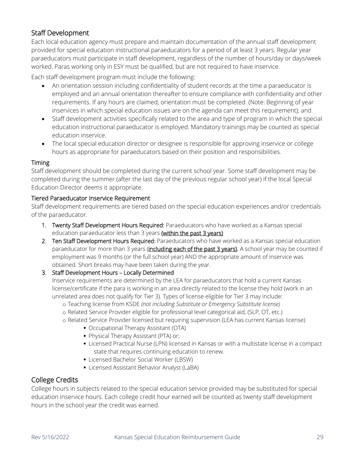### Staff Development

Each local education agency must prepare and maintain documentation of the annual staff development provided for special education instructional paraeducators for a period of at least 3 years. Regular year paraeducators must participate in staff development, regardless of the number of hours/day or days/week worked. Paras working only in ESY must be qualified, but are not required to have inservice.

Each staff development program must include the following:

- An orientation session including confidentiality of student records at the time a paraeducator is employed and an annual orientation thereafter to ensure compliance with confidentiality and other requirements. If any hours are claimed, orientation must be completed. (Note: Beginning of year inservices in which special education issues are on the agenda can meet this requirement); and
- Staff development activities specifically related to the area and type of program in which the special education instructional paraeducator is employed. Mandatory trainings may be counted as special education inservice.
- The local special education director or designee is responsible for approving inservice or college hours as appropriate for paraeducators based on their position and responsibilities.

### Timing

Staff development should be completed during the current school year. Some staff development may be completed during the summer (after the last day of the previous regular school year) if the local Special Education Director deems it appropriate.

### Tiered Paraeducator Inservice Requirement

Staff development requirements are tiered based on the special education experiences and/or credentials of the paraeducator.

- 1. Twenty Staff Development Hours Required: Paraeducators who have worked as a Kansas special education paraeducator less than 3 years (within the past 3 years)
- 2. Ten Staff Development Hours Required: Paraeducators who have worked as a Kansas special education paraeducator for more than 3 years (including each of the past 3 years). A school year may be counted if employment was 9 months (or the full school year) AND the appropriate amount of inservice was obtained. Short breaks may have been taken during the year.

### 3. Staff Development Hours – Locally Determined

Inservice requirements are determined by the LEA for paraeducators that hold a current Kansas license/certificate if the para is working in an area directly related to the license they hold (work in an unrelated area does not qualify for Tier 3). Types of license eligible for Tier 3 may include:

- o Teaching license from KSDE *(not including Substitute or Emergency Substitute license)*
- o Related Service Provider eligible for professional level categorical aid, (SLP, OT, etc.)
- o Related Service Provider licensed but requiring supervision (LEA has current Kansas license)
	- Occupational Therapy Assistant (OTA)
	- **Physical Therapy Assistant (PTA) or;**
	- Licensed Practical Nurse (LPN) licensed in Kansas or with a multistate license in a compact state that requires continuing education to renew.
	- Licensed Bachelor Social Worker (LBSW)
	- **Licensed Assistant Behavior Analyst (LaBA)**

### College Credits

College hours in subjects related to the special education service provided may be substituted for special education inservice hours. Each college credit hour earned will be counted as twenty staff development hours in the school year the credit was earned.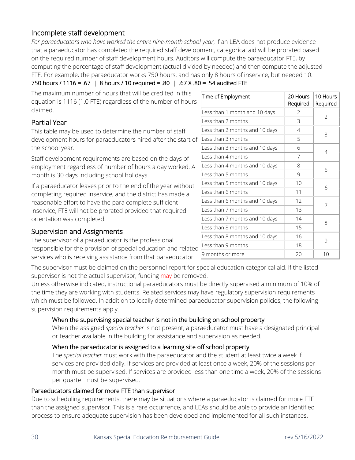### Incomplete staff development

*For paraeducators who have worked the entire nine-month school year*, if an LEA does not produce evidence that a paraeducator has completed the required staff development, categorical aid will be prorated based on the required number of staff development hours. Auditors will compute the paraeducator FTE, by computing the percentage of staff development (actual divided by needed) and then compute the adjusted FTE. For example, the paraeducator works 750 hours, and has only 8 hours of inservice, but needed 10.

750 hours / 1116 = .67 | 8 hours / 10 required = .80 | .67 X .80 = .54 audited FTE

The maximum number of hours that will be credited in this equation is 1116 (1.0 FTE) regardless of the number of hours claimed.

### Partial Year

This table may be used to determine the number of staff development hours for paraeducators hired after the start of the school year.

Staff development requirements are based on the days of employment regardless of number of hours a day worked. A month is 30 days including school holidays.

If a paraeducator leaves prior to the end of the year without completing required inservice, and the district has made a reasonable effort to have the para complete sufficient inservice, FTE will not be prorated provided that required orientation was completed.

### Supervision and Assignments

The supervisor of a paraeducator is the professional responsible for the provision of special education and related services who is receiving assistance from that paraeducator.  $\frac{9 \text{ months or more}}{20 \text{ hours}}$  20 10

| Time of Employment             | 20 Hours<br>Required | 10 Hours<br>Required |
|--------------------------------|----------------------|----------------------|
| Less than 1 month and 10 days  | 2                    | $\overline{2}$       |
| Less than 2 months             | 3                    |                      |
| Less than 2 months and 10 days | 4                    | 3                    |
| Less than 3 months             | 5                    |                      |
| Less than 3 months and 10 days | 6                    | 4                    |
| Less than 4 months             | 7                    |                      |
| Less than 4 months and 10 days | 8                    | 5                    |
| Less than 5 months             | 9                    |                      |
| Less than 5 months and 10 days | 10                   | 6                    |
| Less than 6 months             | 11                   |                      |
| Less than 6 months and 10 days | 12                   | 7                    |
| Less than 7 months             | 13                   |                      |
| Less than 7 months and 10 days | 14                   | 8                    |
| Less than 8 months             | 15                   |                      |
| Less than 8 months and 10 days | 16                   | 9                    |
| Less than 9 months             | 18                   |                      |
| 9 months or more               | つハ                   | $1 \cap$             |

The supervisor must be claimed on the personnel report for special education categorical aid. If the listed supervisor is not the actual supervisor, funding may be removed.

Unless otherwise indicated, instructional paraeducators must be directly supervised a minimum of 10% of the time they are working with students. Related services may have regulatory supervision requirements which must be followed. In addition to locally determined paraeducator supervision policies, the following supervision requirements apply.

### When the supervising special teacher is not in the building on school property

When the assigned *special teacher* is not present, a paraeducator must have a designated principal or teacher available in the building for assistance and supervision as needed.

### When the paraeducator is assigned to a learning site off school property

The *special teacher* must work with the paraeducator and the student at least twice a week if services are provided daily. If services are provided at least once a week, 20% of the sessions per month must be supervised. If services are provided less than one time a week, 20% of the sessions per quarter must be supervised.

### Paraeducators claimed for more FTE than supervisor

Due to scheduling requirements, there may be situations where a paraeducator is claimed for more FTE than the assigned supervisor. This is a rare occurrence, and LEAs should be able to provide an identified process to ensure adequate supervision has been developed and implemented for all such instances.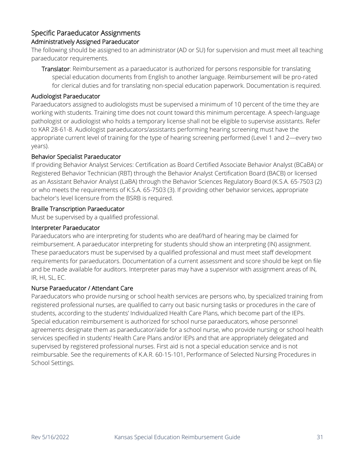### Specific Paraeducator Assignments

### Administratively Assigned Paraeducator

The following should be assigned to an administrator (AD or SU) for supervision and must meet all teaching paraeducator requirements.

Translator: Reimbursement as a paraeducator is authorized for persons responsible for translating special education documents from English to another language. Reimbursement will be pro-rated for clerical duties and for translating non-special education paperwork. Documentation is required.

### Audiologist Paraeducator

Paraeducators assigned to audiologists must be supervised a minimum of 10 percent of the time they are working with students. Training time does not count toward this minimum percentage. A speech-language pathologist or audiologist who holds a temporary license shall not be eligible to supervise assistants. Refer to KAR 28-61-8. Audiologist paraeducators/assistants performing hearing screening must have the appropriate current level of training for the type of hearing screening performed (Level 1 and 2—every two years).

### Behavior Specialist Paraeducator

If providing Behavior Analyst Services: Certification as Board Certified Associate Behavior Analyst (BCaBA) or Registered Behavior Technician (RBT) through the Behavior Analyst Certification Board (BACB) or licensed as an Assistant Behavior Analyst (LaBA) through the Behavior Sciences Regulatory Board (K.S.A. 65-7503 (2) or who meets the requirements of K.S.A. 65-7503 (3). If providing other behavior services, appropriate bachelor's level licensure from the BSRB is required.

### Braille Transcription Paraeducator

Must be supervised by a qualified professional.

### Interpreter Paraeducator

Paraeducators who are interpreting for students who are deaf/hard of hearing may be claimed for reimbursement. A paraeducator interpreting for students should show an interpreting (IN) assignment. These paraeducators must be supervised by a qualified professional and must meet staff development requirements for paraeducators. Documentation of a current assessment and score should be kept on file and be made available for auditors. Interpreter paras may have a supervisor with assignment areas of IN, IR, HI, SL, EC.

### Nurse Paraeducator / Attendant Care

Paraeducators who provide nursing or school health services are persons who, by specialized training from registered professional nurses, are qualified to carry out basic nursing tasks or procedures in the care of students, according to the students' Individualized Health Care Plans, which become part of the IEPs. Special education reimbursement is authorized for school nurse paraeducators, whose personnel agreements designate them as paraeducator/aide for a school nurse, who provide nursing or school health services specified in students' Health Care Plans and/or IEPs and that are appropriately delegated and supervised by registered professional nurses. First aid is not a special education service and is not reimbursable. See the requirements of K.A.R. 60-15-101, Performance of Selected Nursing Procedures in School Settings.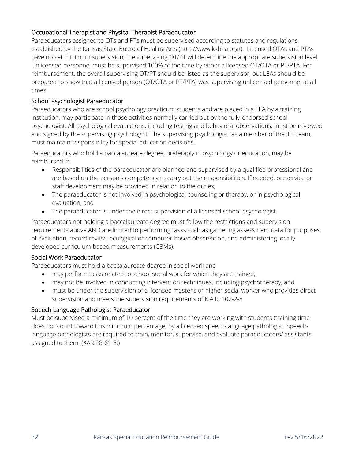### Occupational Therapist and Physical Therapist Paraeducator

Paraeducators assigned to OTs and PTs must be supervised according to statutes and regulations established by the Kansas State Board of Healing Arts (http://www.ksbha.org/). Licensed OTAs and PTAs have no set minimum supervision, the supervising OT/PT will determine the appropriate supervision level. Unlicensed personnel must be supervised 100% of the time by either a licensed OT/OTA or PT/PTA. For reimbursement, the overall supervising OT/PT should be listed as the supervisor, but LEAs should be prepared to show that a licensed person (OT/OTA or PT/PTA) was supervising unlicensed personnel at all times.

### School Psychologist Paraeducator

Paraeducators who are school psychology practicum students and are placed in a LEA by a training institution, may participate in those activities normally carried out by the fully-endorsed school psychologist. All psychological evaluations, including testing and behavioral observations, must be reviewed and signed by the supervising psychologist. The supervising psychologist, as a member of the IEP team, must maintain responsibility for special education decisions.

Paraeducators who hold a baccalaureate degree, preferably in psychology or education, may be reimbursed if:

- Responsibilities of the paraeducator are planned and supervised by a qualified professional and are based on the person's competency to carry out the responsibilities. If needed, preservice or staff development may be provided in relation to the duties;
- The paraeducator is not involved in psychological counseling or therapy, or in psychological evaluation; and
- The paraeducator is under the direct supervision of a licensed school psychologist.

Paraeducators not holding a baccalaureate degree must follow the restrictions and supervision requirements above AND are limited to performing tasks such as gathering assessment data for purposes of evaluation, record review, ecological or computer-based observation, and administering locally developed curriculum-based measurements (CBMs).

### Social Work Paraeducator

Paraeducators must hold a baccalaureate degree in social work and

- may perform tasks related to school social work for which they are trained,
- may not be involved in conducting intervention techniques, including psychotherapy; and
- must be under the supervision of a licensed master's or higher social worker who provides direct supervision and meets the supervision requirements of K.A.R. 102-2-8

### Speech Language Pathologist Paraeducator

Must be supervised a minimum of 10 percent of the time they are working with students (training time does not count toward this minimum percentage) by a licensed speech-language pathologist. Speechlanguage pathologists are required to train, monitor, supervise, and evaluate paraeducators/ assistants assigned to them. (KAR 28-61-8.)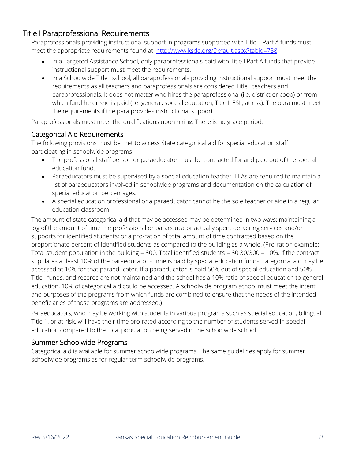### <span id="page-32-0"></span>Title I Paraprofessional Requirements

Paraprofessionals providing instructional support in programs supported with Title I, Part A funds must meet the appropriate requirements found at: http://www.ksde.org/Default.aspx?tabid=788

- In a Targeted Assistance School, only paraprofessionals paid with Title I Part A funds that provide instructional support must meet the requirements.
- In a Schoolwide Title I school, all paraprofessionals providing instructional support must meet the requirements as all teachers and paraprofessionals are considered Title I teachers and paraprofessionals. It does not matter who hires the paraprofessional (i.e. district or coop) or from which fund he or she is paid (i.e. general, special education, Title I, ESL, at risk). The para must meet the requirements if the para provides instructional support.

Paraprofessionals must meet the qualifications upon hiring. There is no grace period.

### Categorical Aid Requirements

The following provisions must be met to access State categorical aid for special education staff participating in schoolwide programs:

- The professional staff person or paraeducator must be contracted for and paid out of the special education fund.
- Paraeducators must be supervised by a special education teacher. LEAs are required to maintain a list of paraeducators involved in schoolwide programs and documentation on the calculation of special education percentages.
- A special education professional or a paraeducator cannot be the sole teacher or aide in a regular education classroom

The amount of state categorical aid that may be accessed may be determined in two ways: maintaining a log of the amount of time the professional or paraeducator actually spent delivering services and/or supports for identified students; or a pro-ration of total amount of time contracted based on the proportionate percent of identified students as compared to the building as a whole. (Pro-ration example: Total student population in the building = 300. Total identified students = 30 30/300 = 10%. If the contract stipulates at least 10% of the paraeducator's time is paid by special education funds, categorical aid may be accessed at 10% for that paraeducator. If a paraeducator is paid 50% out of special education and 50% Title I funds, and records are not maintained and the school has a 10% ratio of special education to general education, 10% of categorical aid could be accessed. A schoolwide program school must meet the intent and purposes of the programs from which funds are combined to ensure that the needs of the intended beneficiaries of those programs are addressed.)

Paraeducators, who may be working with students in various programs such as special education, bilingual, Title 1, or at-risk, will have their time pro-rated according to the number of students served in special education compared to the total population being served in the schoolwide school.

### Summer Schoolwide Programs

Categorical aid is available for summer schoolwide programs. The same guidelines apply for summer schoolwide programs as for regular term schoolwide programs.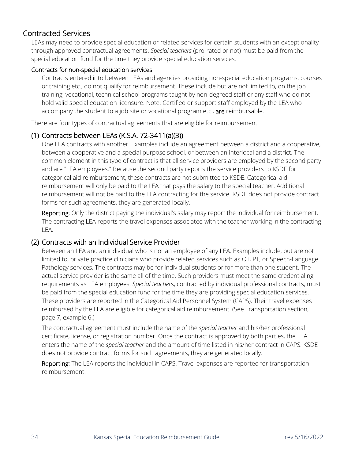### <span id="page-33-0"></span>Contracted Services

LEAs may need to provide special education or related services for certain students with an exceptionality through approved contractual agreements. *Special teachers* (pro-rated or not) must be paid from the special education fund for the time they provide special education services.

### Contracts for non-special education services

Contracts entered into between LEAs and agencies providing non-special education programs, courses or training etc., do not qualify for reimbursement. These include but are not limited to, on the job training, vocational, technical school programs taught by non-degreed staff or any staff who do not hold valid special education licensure. Note: Certified or support staff employed by the LEA who accompany the student to a job site or vocational program etc., are reimbursable.

There are four types of contractual agreements that are eligible for reimbursement:

### (1) Contracts between LEAs (K.S.A. 72-3411(a)(3))

One LEA contracts with another. Examples include an agreement between a district and a cooperative, between a cooperative and a special purpose school, or between an interlocal and a district. The common element in this type of contract is that all service providers are employed by the second party and are "LEA employees." Because the second party reports the service providers to KSDE for categorical aid reimbursement, these contracts are not submitted to KSDE. Categorical aid reimbursement will only be paid to the LEA that pays the salary to the special teacher. Additional reimbursement will not be paid to the LEA contracting for the service. KSDE does not provide contract forms for such agreements, they are generated locally.

Reporting: Only the district paying the individual's salary may report the individual for reimbursement. The contracting LEA reports the travel expenses associated with the teacher working in the contracting LEA.

### (2) Contracts with an Individual Service Provider

Between an LEA and an individual who is not an employee of any LEA. Examples include, but are not limited to, private practice clinicians who provide related services such as OT, PT, or Speech-Language Pathology services. The contracts may be for individual students or for more than one student. The actual service provider is the same all of the time. Such providers must meet the same credentialing requirements as LEA employees. *Special teacher*s, contracted by individual professional contracts, must be paid from the special education fund for the time they are providing special education services. These providers are reported in the Categorical Aid Personnel System (CAPS). Their travel expenses reimbursed by the LEA are eligible for categorical aid reimbursement. (See Transportation section, page 7, example 6.)

The contractual agreement must include the name of the *special teacher* and his/her professional certificate, license, or registration number. Once the contract is approved by both parties, the LEA enters the name of the *special teacher* and the amount of time listed in his/her contract in CAPS. KSDE does not provide contract forms for such agreements, they are generated locally.

Reporting: The LEA reports the individual in CAPS. Travel expenses are reported for transportation reimbursement.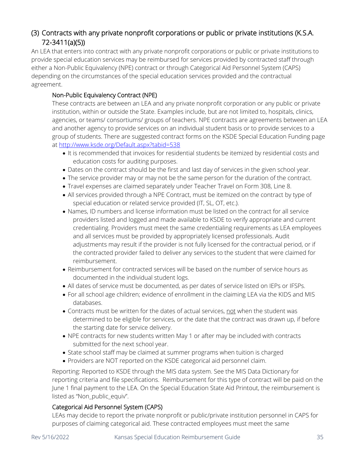### (3) Contracts with any private nonprofit corporations or public or private institutions (K.S.A. 72-3411(a)(5))

An LEA that enters into contract with any private nonprofit corporations or public or private institutions to provide special education services may be reimbursed for services provided by contracted staff through either a Non-Public Equivalency (NPE) contract or through Categorical Aid Personnel System (CAPS) depending on the circumstances of the special education services provided and the contractual agreement.

### Non-Public Equivalency Contract (NPE)

These contracts are between an LEA and any private nonprofit corporation or any public or private institution, within or outside the State. Examples include, but are not limited to, hospitals, clinics, agencies, or teams/ consortiums/ groups of teachers. NPE contracts are agreements between an LEA and another agency to provide services on an individual student basis or to provide services to a group of students. There are suggested contract forms on the KSDE Special Education Funding page at<http://www.ksde.org/Default.aspx?tabid=538>

- It is recommended that invoices for residential students be itemized by residential costs and education costs for auditing purposes.
- Dates on the contract should be the first and last day of services in the given school year.
- The service provider may or may not be the same person for the duration of the contract.
- Travel expenses are claimed separately under Teacher Travel on Form 308, Line 8.
- All services provided through a NPE Contract, must be itemized on the contract by type of special education or related service provided (IT, SL, OT, etc.).
- Names, ID numbers and license information must be listed on the contract for all service providers listed and logged and made available to KSDE to verify appropriate and current credentialing. Providers must meet the same credentialing requirements as LEA employees and all services must be provided by appropriately licensed professionals. Audit adjustments may result if the provider is not fully licensed for the contractual period, or if the contracted provider failed to deliver any services to the student that were claimed for reimbursement.
- Reimbursement for contracted services will be based on the number of service hours as documented in the individual student logs.
- All dates of service must be documented, as per dates of service listed on IEPs or IFSPs.
- For all school age children; evidence of enrollment in the claiming LEA via the KIDS and MIS databases.
- Contracts must be written for the dates of actual services, not when the student was determined to be eligible for services, or the date that the contract was drawn up, if before the starting date for service delivery.
- NPE contracts for new students written May 1 or after may be included with contracts submitted for the next school year.
- State school staff may be claimed at summer programs when tuition is charged
- Providers are NOT reported on the KSDE categorical aid personnel claim.

Reporting: Reported to KSDE through the MIS data system. See the MIS Data Dictionary for reporting criteria and file specifications. Reimbursement for this type of contract will be paid on the June 1 final payment to the LEA. On the Special Education State Aid Printout, the reimbursement is listed as "Non\_public\_equiv".

### Categorical Aid Personnel System (CAPS)

LEAs may decide to report the private nonprofit or public/private institution personnel in CAPS for purposes of claiming categorical aid. These contracted employees must meet the same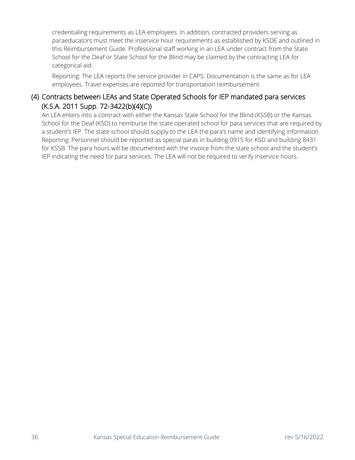credentialing requirements as LEA employees. In addition, contracted providers serving as paraeducators must meet the inservice hour requirements as established by KSDE and outlined in this Reimbursement Guide. Professional staff working in an LEA under contract from the State School for the Deaf or State School for the Blind may be claimed by the contracting LEA for categorical aid.

Reporting: The LEA reports the service provider in CAPS. Documentation is the same as for LEA employees. Travel expenses are reported for transportation reimbursement.

### (4) Contracts between LEAs and State Operated Schools for IEP mandated para services (K.S.A. 2011 Supp. 72-3422(b)(4)(C))

An LEA enters into a contract with either the Kansas State School for the Blind (KSSB) or the Kansas School for the Deaf (KSD) to reimburse the state operated school for para services that are required by a student's IEP. The state school should supply to the LEA the para's name and identifying information. Reporting: Personnel should be reported as special paras in building 0915 for KSD and building 8431 for KSSB. The para hours will be documented with the invoice from the state school and the student's IEP indicating the need for para services. The LEA will not be required to verify inservice hours.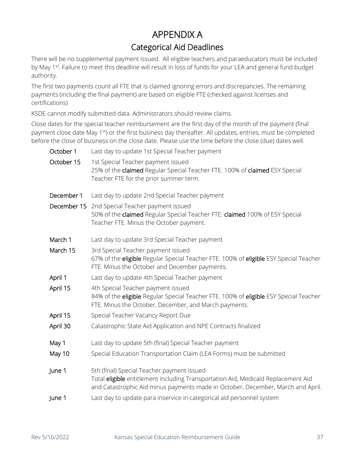# APPENDIX A Categorical Aid Deadlines

<span id="page-36-0"></span>There will be no supplemental payment issued. All eligible teachers and paraeducators must be included by May 1<sup>st</sup>. Failure to meet this deadline will result in loss of funds for your LEA and general fund budget authority.

The first two payments count all FTE that is claimed ignoring errors and discrepancies. The remaining payments (including the final payment) are based on eligible FTE (checked against licenses and certifications)

KSDE cannot modify submitted data. Administrators should review claims.

Close dates for the special teacher reimbursement are the first day of the month of the payment (final payment close date May 1<sup>st</sup>) or the first business day thereafter. All updates, entries, must be completed before the close of business on the close date. Please use the time before the close (due) dates well.

| October 1  | Last day to update 1st Special Teacher payment                                                                                                                                                                     |
|------------|--------------------------------------------------------------------------------------------------------------------------------------------------------------------------------------------------------------------|
| October 15 | 1st Special Teacher payment issued<br>25% of the claimed Regular Special Teacher FTE. 100% of claimed ESY Special<br>Teacher FTE for the prior summer term.                                                        |
| December 1 | Last day to update 2nd Special Teacher payment                                                                                                                                                                     |
|            | December 15 2nd Special Teacher payment issued<br>50% of the claimed Regular Special Teacher FTE. claimed 100% of ESY Special<br>Teacher FTE. Minus the October payment.                                           |
| March 1    | Last day to update 3rd Special Teacher payment                                                                                                                                                                     |
| March 15   | 3rd Special Teacher payment issued<br>67% of the eligible Regular Special Teacher FTE. 100% of eligible ESY Special Teacher<br>FTE. Minus the October and December payments.                                       |
| April 1    | Last day to update 4th Special Teacher payment                                                                                                                                                                     |
| April 15   | 4th Special Teacher payment issued<br>84% of the eligible Regular Special Teacher FTE. 100% of eligible ESY Special Teacher<br>FTE. Minus the October, December, and March payments.                               |
| April 15   | Special Teacher Vacancy Report Due                                                                                                                                                                                 |
| April 30   | Catastrophic State Aid Application and NPE Contracts finalized                                                                                                                                                     |
| May 1      | Last day to update 5th (final) Special Teacher payment                                                                                                                                                             |
| May 10     | Special Education Transportation Claim (LEA Forms) must be submitted                                                                                                                                               |
| June 1     | 5th (final) Special Teacher payment issued<br>Total eligible entitlement including Transportation Aid, Medicaid Replacement Aid<br>and Catastrophic Aid minus payments made in October, December, March and April. |
| June 1     | Last day to update para inservice in categorical aid personnel system                                                                                                                                              |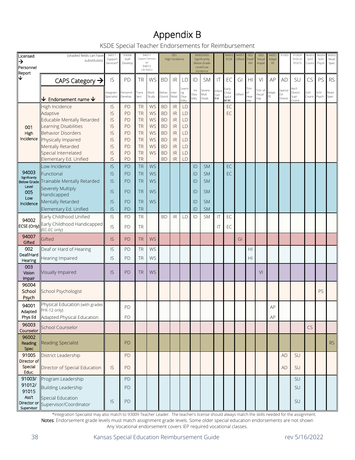# Appendix B

KSDE Special Teacher Endorsements for Reimbursement

<span id="page-37-0"></span>

| Licensed                    | (shaded fields can have<br>substitutes)        | 94011<br>Support       | 93008<br>Staff      |               | 94011<br>Support Services |                 | 001<br>High Incidence             |                       |                 | 94003/005<br>Significantly      |                      | 94002<br>ECSE          | 94007<br>Gifted | 002<br>Deaf/     | 003<br>Visual | 9400 <sup>-</sup><br>Adapt | 91005         | 91003/<br>91012/         | 96003<br>Schl | 96004<br>Schl | 96002<br>Read |
|-----------------------------|------------------------------------------------|------------------------|---------------------|---------------|---------------------------|-----------------|-----------------------------------|-----------------------|-----------------|---------------------------------|----------------------|------------------------|-----------------|------------------|---------------|----------------------------|---------------|--------------------------|---------------|---------------|---------------|
| →<br>Personnel              |                                                | Services*              | Develop             |               | or<br>94012               |                 |                                   |                       |                 | <b>Below Grade</b><br>Level/Low |                      |                        |                 | HH               | Impair        | PE                         |               | 91015                    | Couns         | Psych         | Spec          |
| Report                      |                                                |                        |                     |               | Life Skills ()            |                 |                                   |                       |                 | Incidence                       |                      |                        |                 |                  |               |                            |               |                          |               |               |               |
| ↓                           | CAPS Category $\rightarrow$                    | IS                     | PD                  | <b>TR</b>     | WS                        | <b>BD</b>       | $\ensuremath{\mathsf{IR}}\xspace$ | LD                    | ID              | <b>SM</b>                       | IT                   | EC                     | GI              | H <sub>l</sub>   | VI            | AP                         | <b>AD</b>     | SU                       | CS            | PS            | <b>RS</b>     |
|                             |                                                |                        |                     |               |                           |                 |                                   | earn                  | Int             | Severe                          | nfant                | Early                  |                 | Tchr             | Tchr of       |                            | Special       | Ass't                    |               |               |               |
|                             | ↓<br>Endorsement name $\bm{\downarrow}$        | ntegratn<br>Specialist | Personnl<br>Develop | Trans<br>Serv | Work<br>Study             | Behav<br>Disord | Inter<br>Relat                    | ng<br>Disa-<br>bility | Disa-<br>bility | Mult<br>Disab                   | Tod<br>$\Pi$ - $\Pi$ | Child<br>SpEd<br>EC-EC | Gifted          | оf<br>Hear<br>mp | Visual<br>mp  | Adapt<br>PE                | Ed<br>Directr | Direct/<br>Sup/<br>Coord | Schl<br>Couns | Schl<br>Psych | Read<br>Spec  |
|                             | High Incidence                                 | IS                     | PD                  | <b>TR</b>     | WS                        | <b>BD</b>       | IR                                | LD                    |                 |                                 |                      | EC                     |                 |                  |               |                            |               |                          |               |               |               |
|                             | Adaptive                                       | IS                     | PD                  | <b>TR</b>     | WS                        | <b>BD</b>       | IR                                | LD                    |                 |                                 |                      | EC                     |                 |                  |               |                            |               |                          |               |               |               |
|                             | Educable Mentally Retarded                     | IS                     | PD                  | <b>TR</b>     | WS                        | <b>BD</b>       | IR                                | LD                    |                 |                                 |                      |                        |                 |                  |               |                            |               |                          |               |               |               |
| 001                         | Learning Disabilities                          | IS                     | PD                  | <b>TR</b>     | WS                        | <b>BD</b>       | IR                                | LD                    |                 |                                 |                      |                        |                 |                  |               |                            |               |                          |               |               |               |
| High                        | <b>Behavior Disorders</b>                      | IS                     | PD                  | <b>TR</b>     | WS                        | <b>BD</b>       | IR                                | LD                    |                 |                                 |                      |                        |                 |                  |               |                            |               |                          |               |               |               |
| Incidence                   | Physically Impaired                            | IS                     | PD                  | <b>TR</b>     | WS                        | <b>BD</b>       | <b>IR</b>                         | LD                    |                 |                                 |                      |                        |                 |                  |               |                            |               |                          |               |               |               |
|                             | Mentally Retarded                              | IS                     | PD                  | <b>TR</b>     | WS                        | <b>BD</b>       | <b>IR</b>                         | LD                    |                 |                                 |                      |                        |                 |                  |               |                            |               |                          |               |               |               |
|                             | Special Interrelated                           | IS                     | PD                  | <b>TR</b>     | WS                        | <b>BD</b>       | IR                                | LD                    |                 |                                 |                      |                        |                 |                  |               |                            |               |                          |               |               |               |
|                             | Elementary Ed. Unified                         | IS                     | PD                  | <b>TR</b>     |                           | <b>BD</b>       | IR                                | LD                    |                 |                                 |                      |                        |                 |                  |               |                            |               |                          |               |               |               |
| 94003                       | Low Incidence<br>Functional                    | IS                     | PD                  | <b>TR</b>     | WS                        |                 |                                   |                       | ID              | <b>SM</b>                       |                      | EC                     |                 |                  |               |                            |               |                          |               |               |               |
| Significantly               |                                                | IS                     | PD                  | <b>TR</b>     | <b>WS</b>                 |                 |                                   |                       | ID              | <b>SM</b>                       |                      | EC                     |                 |                  |               |                            |               |                          |               |               |               |
| <b>Below Grade</b><br>Level | Trainable Mentally Retarded                    | IS                     | PD                  | <b>TR</b>     | WS                        |                 |                                   |                       | ID              | <b>SM</b>                       |                      |                        |                 |                  |               |                            |               |                          |               |               |               |
| 005                         | Severely Multiply<br>Handicapped               | IS                     | PD                  | <b>TR</b>     | WS                        |                 |                                   |                       | ID              | <b>SM</b>                       |                      |                        |                 |                  |               |                            |               |                          |               |               |               |
| Low                         | Mentally Retarded                              | IS                     | <b>PD</b>           | <b>TR</b>     | WS                        |                 |                                   |                       | ID              | <b>SM</b>                       |                      |                        |                 |                  |               |                            |               |                          |               |               |               |
| Incidence                   | Elementary Ed. Unified                         | IS                     | PD                  | TR            |                           |                 |                                   |                       | ID              | <b>SM</b>                       |                      |                        |                 |                  |               |                            |               |                          |               |               |               |
|                             | Early Childhood Unified                        | IS                     | PD                  | <b>TR</b>     |                           | <b>BD</b>       | <b>IR</b>                         | LD                    | ID              | <b>SM</b>                       | ΙT                   | EC                     |                 |                  |               |                            |               |                          |               |               |               |
| 94002                       | <b>ECSE (Only)</b> Early Childhood Handicapped |                        |                     |               |                           |                 |                                   |                       |                 |                                 |                      |                        |                 |                  |               |                            |               |                          |               |               |               |
|                             | (EC-EC only)                                   | IS                     | PD                  | <b>TR</b>     |                           |                 |                                   |                       |                 |                                 | ΙT                   | EC                     |                 |                  |               |                            |               |                          |               |               |               |
| 94007<br>Gifted             | Gifted                                         | IS                     | PD                  | <b>TR</b>     | <b>WS</b>                 |                 |                                   |                       |                 |                                 |                      |                        | GI              |                  |               |                            |               |                          |               |               |               |
| 002                         | Deaf or Hard of Hearing                        | IS                     | PD                  | <b>TR</b>     | WS                        |                 |                                   |                       |                 |                                 |                      |                        |                 | H <sub>l</sub>   |               |                            |               |                          |               |               |               |
| Deaf/Hard<br>Hearing        | Hearing Impaired                               | IS                     | PD                  | <b>TR</b>     | WS                        |                 |                                   |                       |                 |                                 |                      |                        |                 | H <sub>l</sub>   |               |                            |               |                          |               |               |               |
| 003                         |                                                |                        |                     |               |                           |                 |                                   |                       |                 |                                 |                      |                        |                 |                  |               |                            |               |                          |               |               |               |
| Vision                      | Visually Impaired                              | IS                     | PD                  | TR            | <b>WS</b>                 |                 |                                   |                       |                 |                                 |                      |                        |                 |                  | VI            |                            |               |                          |               |               |               |
| Impair<br>96004             |                                                |                        |                     |               |                           |                 |                                   |                       |                 |                                 |                      |                        |                 |                  |               |                            |               |                          |               |               |               |
| School                      | School Psychologist                            |                        |                     |               |                           |                 |                                   |                       |                 |                                 |                      |                        |                 |                  |               |                            |               |                          |               | PS            |               |
| Psych                       |                                                |                        |                     |               |                           |                 |                                   |                       |                 |                                 |                      |                        |                 |                  |               |                            |               |                          |               |               |               |
| 94001                       | Physical Education (with grades                |                        | PD                  |               |                           |                 |                                   |                       |                 |                                 |                      |                        |                 |                  |               | AP                         |               |                          |               |               |               |
| Adapted                     | PrK-12 only)                                   |                        |                     |               |                           |                 |                                   |                       |                 |                                 |                      |                        |                 |                  |               |                            |               |                          |               |               |               |
| Phys Ed                     | Adapted Physical Education                     |                        | PD                  |               |                           |                 |                                   |                       |                 |                                 |                      |                        |                 |                  |               | AP                         |               |                          |               |               |               |
| 96003<br>Counselor          | School Counselor                               |                        |                     |               |                           |                 |                                   |                       |                 |                                 |                      |                        |                 |                  |               |                            |               |                          | $CS$          |               |               |
| 96002                       |                                                |                        |                     |               |                           |                 |                                   |                       |                 |                                 |                      |                        |                 |                  |               |                            |               |                          |               |               |               |
| Reading<br>Spec             | <b>Reading Specialist</b>                      |                        | <b>PD</b>           |               |                           |                 |                                   |                       |                 |                                 |                      |                        |                 |                  |               |                            |               |                          |               |               | RS            |
| 91005<br>Director of        | District Leadership                            |                        | PD                  |               |                           |                 |                                   |                       |                 |                                 |                      |                        |                 |                  |               |                            | <b>AD</b>     | SU                       |               |               |               |
| Special<br>Educ.            | Director of Special Education                  | IS                     | PD                  |               |                           |                 |                                   |                       |                 |                                 |                      |                        |                 |                  |               |                            | AD            | SU                       |               |               |               |
| 91003/                      | Program Leadership                             |                        | PD                  |               |                           |                 |                                   |                       |                 |                                 |                      |                        |                 |                  |               |                            |               | SU                       |               |               |               |
| 91012/                      | Building Leadership                            |                        | PD                  |               |                           |                 |                                   |                       |                 |                                 |                      |                        |                 |                  |               |                            |               | SU                       |               |               |               |
| 91015                       |                                                |                        |                     |               |                           |                 |                                   |                       |                 |                                 |                      |                        |                 |                  |               |                            |               |                          |               |               |               |
| Ass't                       | Special Education                              | $\mathsf{IS}\xspace$   | PD                  |               |                           |                 |                                   |                       |                 |                                 |                      |                        |                 |                  |               |                            |               | SU                       |               |               |               |
| Director or<br>Supervisor   | Supervisor/Coordinator                         |                        |                     |               |                           |                 |                                   |                       |                 |                                 |                      |                        |                 |                  |               |                            |               |                          |               |               |               |

\*Integration Specialist may also match to 93009 Teacher Leader. The teacher's license should always match the skills needed for the assignment. Notes: Endorsement grade levels must match assignment grade levels. Some older special education endorsements are not shown Any Vocational endorsement covers IEP required vocational classes.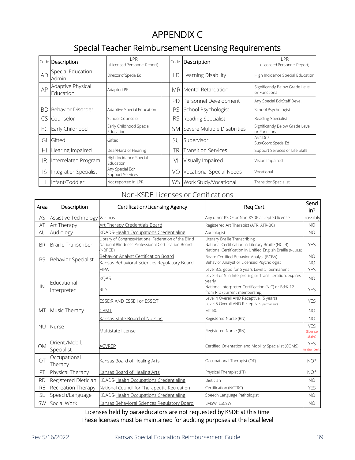# APPENDIX C

# Special Teacher Reimbursement Licensing Requirements

<span id="page-38-0"></span>

|           | Code Description               | I PR<br>(Licensed Personnel Report)        | Code      | Description                  | I PR<br>(Licensed Personnel Report)              |
|-----------|--------------------------------|--------------------------------------------|-----------|------------------------------|--------------------------------------------------|
| <b>AD</b> | Special Education<br>Admin.    | Director of Special Ed                     | LD        | Learning Disability          | High Incidence Special Education                 |
| AP        | Adaptive Physical<br>Education | Adapted PE                                 | MR.       | Mental Retardation           | Significantly Below Grade Level<br>or Functional |
|           |                                |                                            | PD        | Personnel Development        | Any Special Ed/Staff Devel.                      |
| <b>BD</b> | Behavior Disorder              | Adaptive Special Education                 | PS        | School Psychologist          | School Psychologist                              |
| CS        | Counselor                      | School Counselor                           | <b>RS</b> | Reading Specialist           | Reading Specialist                               |
| EC        | Early Childhood                | Early Childhood Special<br>Education       | SM        | Severe Multiple Disabilities | Significantly Below Grade Level<br>or Functional |
| GI        | Gifted                         | Gifted                                     | SU        | Supervisor                   | Ass't Dir./<br>Sup/Coord Special Ed              |
| HI        | Hearing Impaired               | Deaf/Hard of Hearing                       | TR        | <b>Transition Services</b>   | Support Services or Life Skills                  |
| IR        | Interrelated Program           | High Incidence Special<br>Education        | VI        | Visually Impaired            | Vision Impaired                                  |
| IS        | <b>Integration Specialist</b>  | Any Special Ed/<br><b>Support Services</b> | VO        | Vocational Special Needs     | Vocational                                       |
| П         | Infant/Toddler                 | Not reported in LPR                        | WS        | Work Study/Vocational        | TransitionSpecialist                             |

### Non-KSDE Licenses or Certifications

| Area      | Description                  | Certification/Licensing Agency                                                                                         | Req Cert                                                                                                                                        | Send<br>in?                              |
|-----------|------------------------------|------------------------------------------------------------------------------------------------------------------------|-------------------------------------------------------------------------------------------------------------------------------------------------|------------------------------------------|
| AS        | Assistive Technology Various |                                                                                                                        | Any other KSDE or Non-KSDE accepted license                                                                                                     | possibly                                 |
| AT        | Art Therapy                  | Art Therapy Credentials Board                                                                                          | Registered Art Therapist (ATR, ATR-BC)                                                                                                          | NO                                       |
| AU        | Audiology                    | KDADS-Health Occupations Credentialing                                                                                 | Audiologist                                                                                                                                     | <b>NO</b>                                |
| <b>BR</b> | <b>Braille Transcriber</b>   | Library of Congress/National Federation of the Blind<br>National Blindness Professional Certification Board<br>(NBPCB) | Literary Braille Transcribing<br>National Certification in Literary Braille (NCLB)<br>National Certification in Unified English Braille (NCUEB) | <b>YES</b>                               |
| <b>BS</b> | Behavior Specialist          | Behavior Analyst Certification Board                                                                                   | Board Certified Behavior Analyst (BCBA)                                                                                                         | <b>NO</b>                                |
|           |                              | Kansas Behavioral Sciences Regulatory Board                                                                            | Behavior Analyst or Licensed Psychologist                                                                                                       | <b>NO</b>                                |
|           |                              | <b>EIPA</b>                                                                                                            | evel 3.5, good for 5 years Level 5, permanent                                                                                                   | <b>YES</b>                               |
|           | Educational<br>Interpreter   | <b>KQAS</b>                                                                                                            | Level 4 or 5 in Interpreting or Transliteration, expires<br>vearly                                                                              | <b>NO</b>                                |
| IN        |                              | <b>RID</b>                                                                                                             | National Interpreter Certification (NIC) or Ed:K-12<br>from RID (current membership)                                                            | <b>YES</b>                               |
|           |                              | ESSE:R AND ESSE:I or ESSE:T                                                                                            | evel 4 Overall AND Receptive, (5 years)<br>evel 5 Overall AND Receptive, (permanent)                                                            | <b>YES</b>                               |
| <b>MT</b> | Music Therapy                | CBMT                                                                                                                   | MT-BC                                                                                                                                           | N <sub>O</sub>                           |
|           |                              | Kansas State Board of Nursing                                                                                          | Registered Nurse (RN)                                                                                                                           | <b>NO</b>                                |
| NU        | Nurse                        | Multistate license                                                                                                     | Registered Nurse (RN)                                                                                                                           | <b>YFS</b><br><b>(license)</b><br>state) |
| <b>OM</b> | Orient./Mobil.<br>Specialist | <b>ACVREP</b>                                                                                                          | Certified Orientation and Mobility Specialist (COMS)                                                                                            | <b>YES</b><br>initial cert)              |
| OT        | Occupational<br>Therapy      | Kansas Board of Healing Arts                                                                                           | Occupational Therapist (OT)                                                                                                                     | $NO*$                                    |
| PT        | Physical Therapy             | Kansas Board of Healing Arts                                                                                           | Physical Therapist (PT)                                                                                                                         | $NO*$                                    |
| <b>RD</b> | Registered Dietician         | KDADS-Health Occupations Credentialing                                                                                 | Dietician                                                                                                                                       | <b>NO</b>                                |
| <b>RE</b> | Recreation Therapy           | National Council for Therapeutic Recreation                                                                            | Certification (NCTRC)                                                                                                                           | <b>YES</b>                               |
| <b>SL</b> | Speech/Language              | KDADS-Health Occupations Credentialing                                                                                 | Speech Language Pathologist                                                                                                                     | <b>NO</b>                                |
| <b>SW</b> | Social Work                  | Kansas Behavioral Sciences Regulatory Board                                                                            | LMSW, LSCSW                                                                                                                                     | <b>NO</b>                                |

Licenses held by paraeducators are not requested by KSDE at this time These licenses must be maintained for auditing purposes at the local level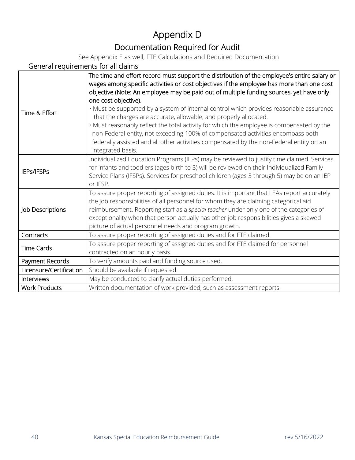# Appendix D Documentation Required for Audit

See Appendix E as well, FTE Calculations and Required Documentation

### <span id="page-39-0"></span>General requirements for all claims

| Time & Effort           | The time and effort record must support the distribution of the employee's entire salary or<br>wages among specific activities or cost objectives if the employee has more than one cost<br>objective (Note: An employee may be paid out of multiple funding sources, yet have only<br>one cost objective).<br>. Must be supported by a system of internal control which provides reasonable assurance<br>that the charges are accurate, allowable, and properly allocated.<br>. Must reasonably reflect the total activity for which the employee is compensated by the<br>non-Federal entity, not exceeding 100% of compensated activities encompass both<br>federally assisted and all other activities compensated by the non-Federal entity on an<br>integrated basis. |
|-------------------------|-----------------------------------------------------------------------------------------------------------------------------------------------------------------------------------------------------------------------------------------------------------------------------------------------------------------------------------------------------------------------------------------------------------------------------------------------------------------------------------------------------------------------------------------------------------------------------------------------------------------------------------------------------------------------------------------------------------------------------------------------------------------------------|
| IEPs/IFSPs              | Individualized Education Programs (IEPs) may be reviewed to justify time claimed. Services<br>for infants and toddlers (ages birth to 3) will be reviewed on their Individualized Family<br>Service Plans (IFSPs). Services for preschool children (ages 3 through 5) may be on an IEP<br>or IFSP.                                                                                                                                                                                                                                                                                                                                                                                                                                                                          |
| Job Descriptions        | To assure proper reporting of assigned duties. It is important that LEAs report accurately<br>the job responsibilities of all personnel for whom they are claiming categorical aid<br>reimbursement. Reporting staff as a special teacher under only one of the categories of<br>exceptionality when that person actually has other job responsibilities gives a skewed<br>picture of actual personnel needs and program growth.                                                                                                                                                                                                                                                                                                                                            |
| Contracts               | To assure proper reporting of assigned duties and for FTE claimed.                                                                                                                                                                                                                                                                                                                                                                                                                                                                                                                                                                                                                                                                                                          |
| <b>Time Cards</b>       | To assure proper reporting of assigned duties and for FTE claimed for personnel<br>contracted on an hourly basis.                                                                                                                                                                                                                                                                                                                                                                                                                                                                                                                                                                                                                                                           |
| Payment Records         | To verify amounts paid and funding source used.                                                                                                                                                                                                                                                                                                                                                                                                                                                                                                                                                                                                                                                                                                                             |
| Licensure/Certification | Should be available if requested.                                                                                                                                                                                                                                                                                                                                                                                                                                                                                                                                                                                                                                                                                                                                           |
| Interviews              | May be conducted to clarify actual duties performed.                                                                                                                                                                                                                                                                                                                                                                                                                                                                                                                                                                                                                                                                                                                        |
| <b>Work Products</b>    | Written documentation of work provided, such as assessment reports.                                                                                                                                                                                                                                                                                                                                                                                                                                                                                                                                                                                                                                                                                                         |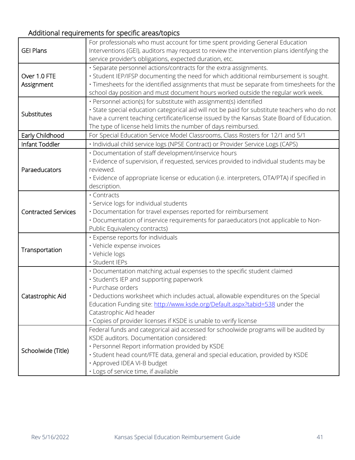# Additional requirements for specific areas/topics

|                            | For professionals who must account for time spent providing General Education                 |  |  |  |  |
|----------------------------|-----------------------------------------------------------------------------------------------|--|--|--|--|
| <b>GEI Plans</b>           | Interventions (GEI), auditors may request to review the intervention plans identifying the    |  |  |  |  |
|                            | service provider's obligations, expected duration, etc.                                       |  |  |  |  |
|                            | · Separate personnel actions/contracts for the extra assignments.                             |  |  |  |  |
| Over 1.0 FTE               | · Student IEP/IFSP documenting the need for which additional reimbursement is sought.         |  |  |  |  |
| Assignment                 | · Timesheets for the identified assignments that must be separate from timesheets for the     |  |  |  |  |
|                            | school day position and must document hours worked outside the regular work week.             |  |  |  |  |
| <b>Substitutes</b>         | · Personnel action(s) for substitute with assignment(s) identified                            |  |  |  |  |
|                            | · State special education categorical aid will not be paid for substitute teachers who do not |  |  |  |  |
|                            | have a current teaching certificate/license issued by the Kansas State Board of Education.    |  |  |  |  |
|                            | The type of license held limits the number of days reimbursed.                                |  |  |  |  |
| Early Childhood            | For Special Education Service Model Classrooms, Class Rosters for 12/1 and 5/1                |  |  |  |  |
| Infant Toddler             | · Individual child service logs (NPSE Contract) or Provider Service Logs (CAPS)               |  |  |  |  |
|                            | · Documentation of staff development/inservice hours                                          |  |  |  |  |
|                            | · Evidence of supervision, if requested, services provided to individual students may be      |  |  |  |  |
| Paraeducators              | reviewed.                                                                                     |  |  |  |  |
|                            | · Evidence of appropriate license or education (i.e. interpreters, OTA/PTA) if specified in   |  |  |  |  |
|                            | description.                                                                                  |  |  |  |  |
|                            | · Contracts                                                                                   |  |  |  |  |
|                            | · Service logs for individual students                                                        |  |  |  |  |
| <b>Contracted Services</b> | · Documentation for travel expenses reported for reimbursement                                |  |  |  |  |
|                            | · Documentation of inservice requirements for paraeducators (not applicable to Non-           |  |  |  |  |
|                            | Public Equivalency contracts)                                                                 |  |  |  |  |
|                            | · Expense reports for individuals                                                             |  |  |  |  |
|                            | · Vehicle expense invoices                                                                    |  |  |  |  |
| Transportation             | · Vehicle logs                                                                                |  |  |  |  |
|                            | · Student IEPs                                                                                |  |  |  |  |
|                            | · Documentation matching actual expenses to the specific student claimed                      |  |  |  |  |
|                            | · Student's IEP and supporting paperwork                                                      |  |  |  |  |
|                            | · Purchase orders                                                                             |  |  |  |  |
| Catastrophic Aid           | · Deductions worksheet which includes actual, allowable expenditures on the Special           |  |  |  |  |
|                            | Education Funding site: http://www.ksde.org/Default.aspx?tabid=538 under the                  |  |  |  |  |
|                            | Catastrophic Aid header                                                                       |  |  |  |  |
|                            | · Copies of provider licenses if KSDE is unable to verify license                             |  |  |  |  |
|                            | Federal funds and categorical aid accessed for schoolwide programs will be audited by         |  |  |  |  |
| Schoolwide (Title)         | KSDE auditors. Documentation considered:                                                      |  |  |  |  |
|                            | · Personnel Report information provided by KSDE                                               |  |  |  |  |
|                            | · Student head count/FTE data, general and special education, provided by KSDE                |  |  |  |  |
|                            | · Approved IDEA VI-B budget                                                                   |  |  |  |  |
|                            | · Logs of service time, if available                                                          |  |  |  |  |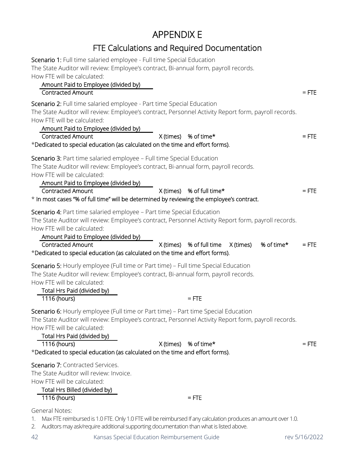# APPENDIX E

# FTE Calculations and Required Documentation

<span id="page-41-0"></span>

| Scenario 1: Full time salaried employee - Full time Special Education<br>The State Auditor will review: Employee's contract, Bi-annual form, payroll records.<br>How FTE will be calculated:<br>Amount Paid to Employee (divided by)<br><b>Contracted Amount</b>                                                                                                                                                         | $=$ FTE |  |  |  |
|--------------------------------------------------------------------------------------------------------------------------------------------------------------------------------------------------------------------------------------------------------------------------------------------------------------------------------------------------------------------------------------------------------------------------|---------|--|--|--|
| Scenario 2: Full time salaried employee - Part time Special Education<br>The State Auditor will review: Employee's contract, Personnel Activity Report form, payroll records.<br>How FTE will be calculated:<br>Amount Paid to Employee (divided by)                                                                                                                                                                     |         |  |  |  |
| X (times) % of time*<br><b>Contracted Amount</b><br>*Dedicated to special education (as calculated on the time and effort forms).                                                                                                                                                                                                                                                                                        | $=$ FTE |  |  |  |
| Scenario 3: Part time salaried employee - Full time Special Education<br>The State Auditor will review: Employee's contract, Bi-annual form, payroll records.<br>How FTE will be calculated:<br>Amount Paid to Employee (divided by)                                                                                                                                                                                     |         |  |  |  |
| X (times) % of full time*<br><b>Contracted Amount</b><br>* In most cases "% of full time" will be determined by reviewing the employee's contract.                                                                                                                                                                                                                                                                       |         |  |  |  |
| Scenario 4: Part time salaried employee - Part time Special Education<br>The State Auditor will review: Employee's contract, Personnel Activity Report form, payroll records.<br>How FTE will be calculated:<br>Amount Paid to Employee (divided by)<br>X (times) % of full time<br><b>Contracted Amount</b><br>X (times)<br>% of time*<br>*Dedicated to special education (as calculated on the time and effort forms). | $=$ FTE |  |  |  |
| Scenario 5: Hourly employee (Full time or Part time) - Full time Special Education<br>The State Auditor will review: Employee's contract, Bi-annual form, payroll records.<br>How FTE will be calculated:<br>Total Hrs Paid (divided by)<br>1116 (hours)<br>$=$ FTE                                                                                                                                                      |         |  |  |  |
| Scenario 6: Hourly employee (Full time or Part time) - Part time Special Education<br>The State Auditor will review: Employee's contract, Personnel Activity Report form, payroll records.<br>How FTE will be calculated:<br>Total Hrs Paid (divided by)                                                                                                                                                                 |         |  |  |  |
| X (times) % of time*<br>1116 (hours)<br>*Dedicated to special education (as calculated on the time and effort forms).                                                                                                                                                                                                                                                                                                    | $=$ FTE |  |  |  |
| Scenario 7: Contracted Services.<br>The State Auditor will review: Invoice.<br>How FTE will be calculated:<br>Total Hrs Billed (divided by)<br>1116 (hours)<br>$=$ FTE                                                                                                                                                                                                                                                   |         |  |  |  |
| <b>General Notes:</b><br>Max FTE reimbursed is 1.0 FTE. Only 1.0 FTE will be reimbursed If any calculation produces an amount over 1.0.<br>1.                                                                                                                                                                                                                                                                            |         |  |  |  |

2. Auditors may ask/require additional supporting documentation than what is listed above.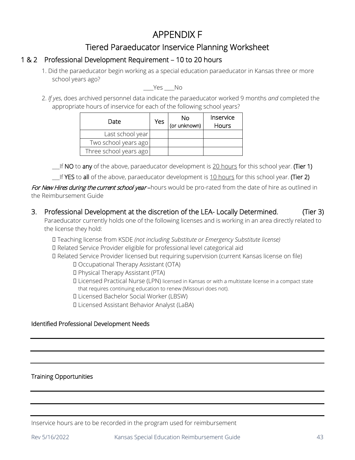# APPENDIX F

## Tiered Paraeducator Inservice Planning Worksheet

### <span id="page-42-0"></span>1 & 2 Professional Development Requirement – 10 to 20 hours

1. Did the paraeducator begin working as a special education paraeducator in Kansas three or more school years ago?

Yes No

2. *If yes*, does archived personnel data indicate the paraeducator worked 9 months *and* completed the appropriate hours of inservice for each of the following school years?

| Date                   | Yes | No<br>(or unknown) | Inservice<br>Hours |
|------------------------|-----|--------------------|--------------------|
| Last school year       |     |                    |                    |
| Two school years ago   |     |                    |                    |
| Three school years ago |     |                    |                    |

If NO to any of the above, paraeducator development is 20 hours for this school year. (Tier 1)

 $\Box$  If YES to all of the above, paraeducator development is 10 hours for this school year. (Tier 2)

For New Hires during the current school year-hours would be pro-rated from the date of hire as outlined in the Reimbursement Guide

3. Professional Development at the discretion of the LEA- Locally Determined. (Tier 3)

Paraeducator currently holds one of the following licenses and is working in an area directly related to the license they hold:

� Teaching license from KSDE *(not including Substitute or Emergency Substitute license)*

� Related Service Provider eligible for professional level categorical aid

� Related Service Provider licensed but requiring supervision (current Kansas license on file)

� Occupational Therapy Assistant (OTA)

- � Physical Therapy Assistant (PTA)
- � Licensed Practical Nurse (LPN) licensed in Kansas or with a multistate license in a compact state that requires continuing education to renew (Missouri does not).
- � Licensed Bachelor Social Worker (LBSW)
- � Licensed Assistant Behavior Analyst (LaBA)

### Identified Professional Development Needs

### Training Opportunities

Inservice hours are to be recorded in the program used for reimbursement